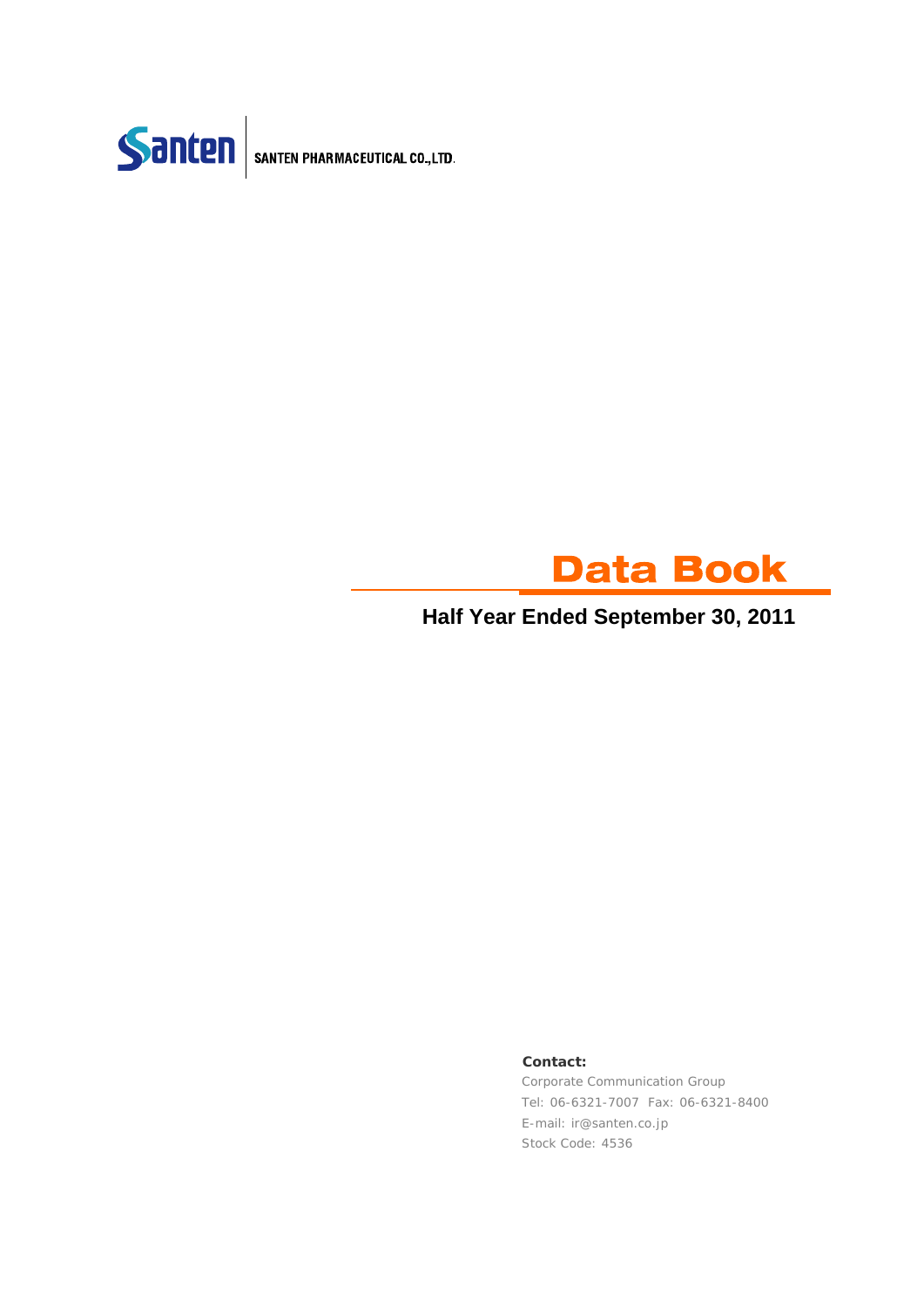



### **Half Year Ended September 30, 2011**

#### **Contact:**

Corporate Communication Group Tel: 06-6321-7007 Fax: 06-6321-8400 E-mail: ir@santen.co.jp Stock Code: 4536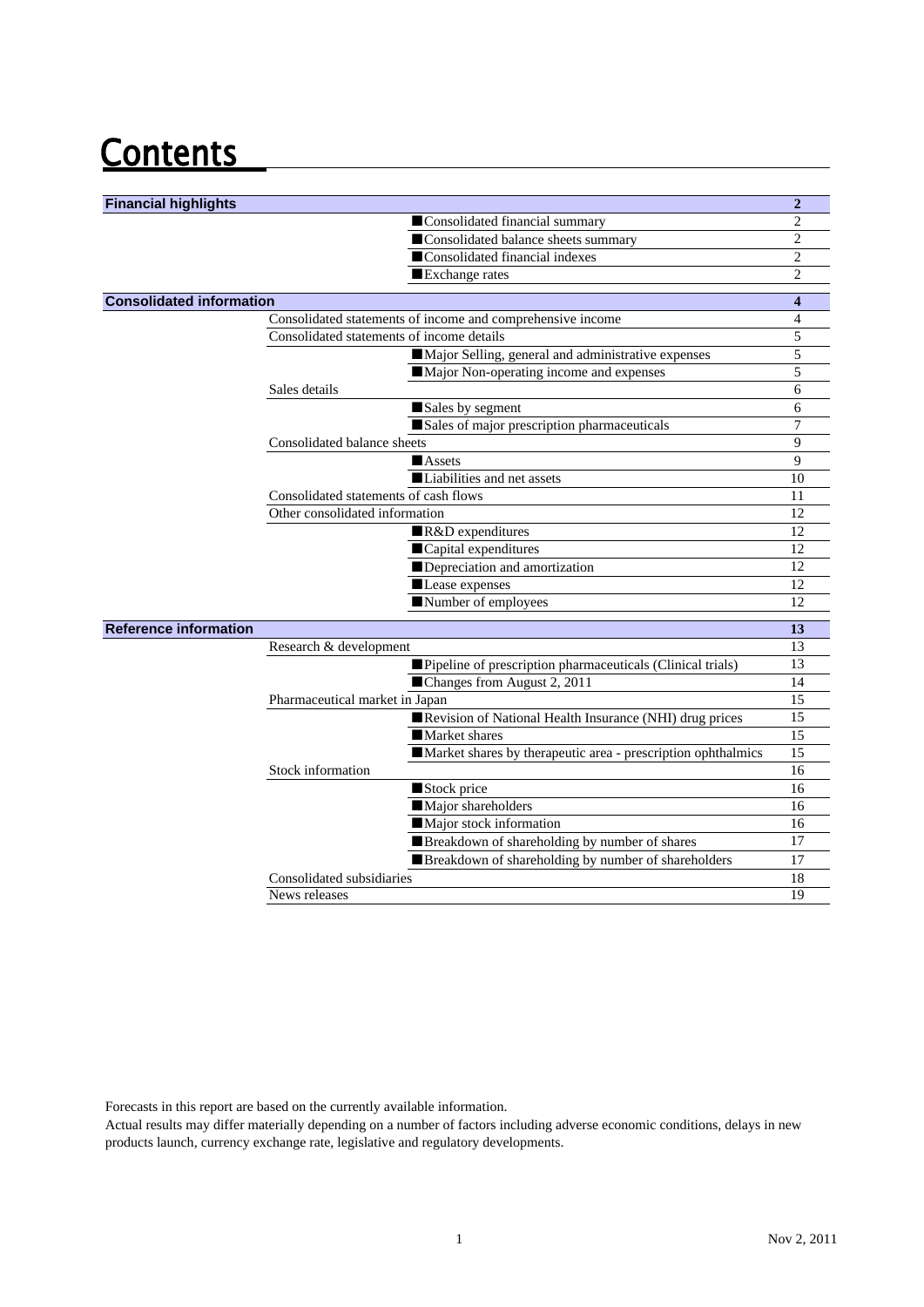## **Contents**

| <b>Financial highlights</b>     |                                                              | $\overline{2}$   |
|---------------------------------|--------------------------------------------------------------|------------------|
|                                 | Consolidated financial summary                               | $\overline{c}$   |
|                                 | Consolidated balance sheets summary                          | 2                |
|                                 | Consolidated financial indexes                               | 2                |
|                                 | Exchange rates                                               | $\overline{c}$   |
| <b>Consolidated information</b> |                                                              | $\boldsymbol{4}$ |
|                                 | Consolidated statements of income and comprehensive income   | $\overline{4}$   |
|                                 | Consolidated statements of income details                    | 5                |
|                                 | Major Selling, general and administrative expenses           | 5                |
|                                 | Major Non-operating income and expenses                      | 5                |
|                                 | Sales details                                                | 6                |
|                                 | Sales by segment                                             | 6                |
|                                 | Sales of major prescription pharmaceuticals                  | 7                |
|                                 | Consolidated balance sheets                                  | 9                |
|                                 | <b>Assets</b>                                                | 9                |
|                                 | Liabilities and net assets                                   | 10               |
|                                 | Consolidated statements of cash flows                        | 11               |
|                                 | Other consolidated information                               | 12               |
|                                 | R&D expenditures                                             | 12               |
|                                 | Capital expenditures                                         | 12               |
|                                 | Depreciation and amortization                                | 12               |
|                                 | Lease expenses                                               | 12               |
|                                 | Number of employees                                          | 12               |
| <b>Reference information</b>    |                                                              | 13               |
|                                 | Research & development                                       | 13               |
|                                 | Pipeline of prescription pharmaceuticals (Clinical trials)   | 13               |
|                                 | ■Changes from August 2, 2011                                 | 14               |
|                                 | Pharmaceutical market in Japan                               | 15               |
|                                 | Revision of National Health Insurance (NHI) drug prices      | 15               |
|                                 | Market shares                                                | 15               |
|                                 | Market shares by therapeutic area - prescription ophthalmics | 15               |
|                                 | Stock information                                            | 16               |
|                                 | Stock price                                                  | 16               |
|                                 | Major shareholders                                           | 16               |
|                                 | Major stock information                                      | 16               |
|                                 | Breakdown of shareholding by number of shares                | 17               |
|                                 | Breakdown of shareholding by number of shareholders          | 17               |
|                                 | Consolidated subsidiaries                                    | 18               |
|                                 | News releases                                                | 19               |

Forecasts in this report are based on the currently available information.

Actual results may differ materially depending on a number of factors including adverse economic conditions, delays in new products launch, currency exchange rate, legislative and regulatory developments.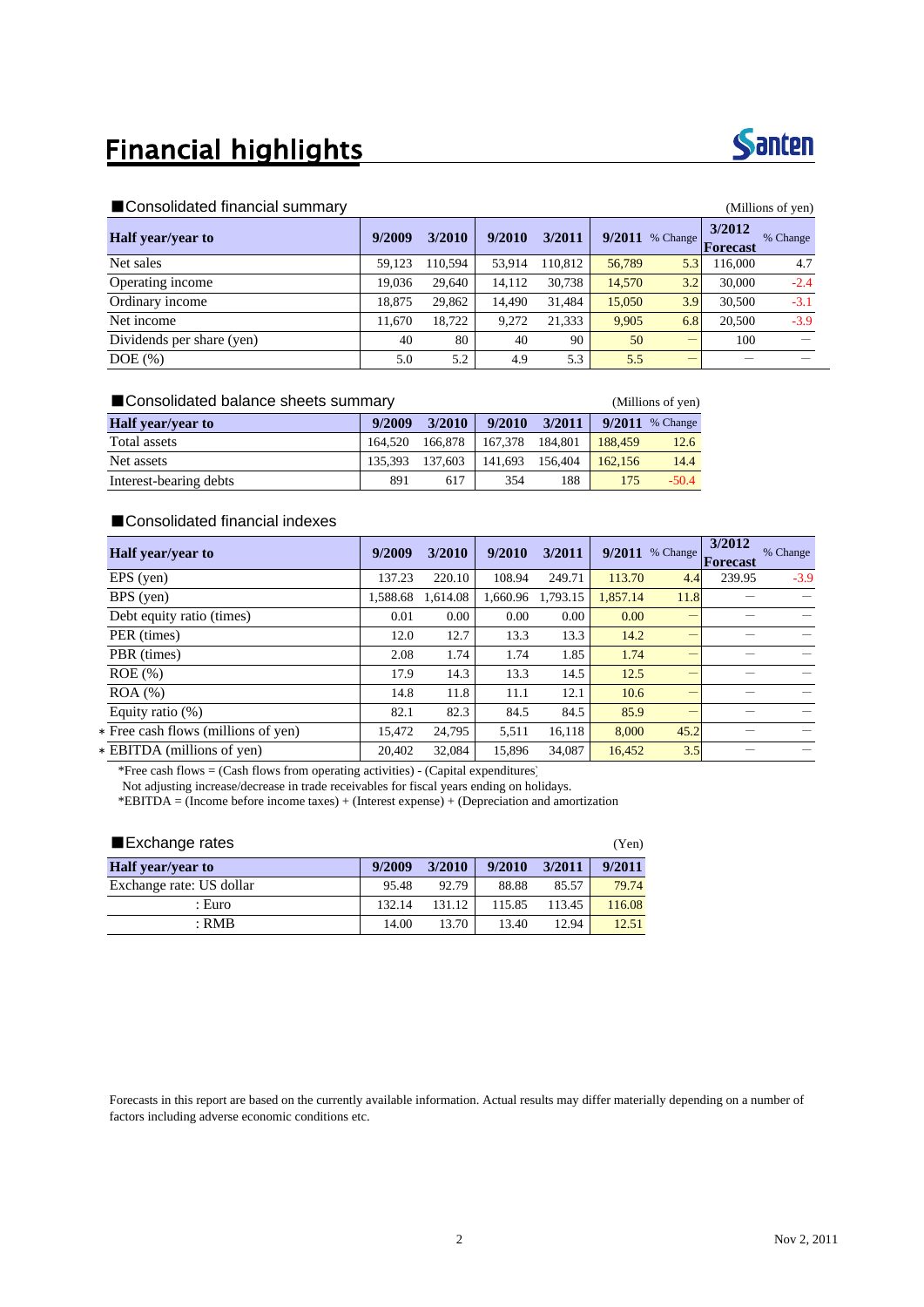### **Financial highlights**



#### ■Consolidated financial summary (Millions of yen)

|                           |        |         |        |         |        |          |                    | $\cdots$ |
|---------------------------|--------|---------|--------|---------|--------|----------|--------------------|----------|
| <b>Half</b> year/year to  | 9/2009 | 3/2010  | 9/2010 | 3/2011  | 9/2011 | % Change | 3/2012<br>Forecast | % Change |
| Net sales                 | 59.123 | 110.594 | 53.914 | 110.812 | 56,789 | 5.3      | 116,000            | 4.7      |
| Operating income          | 19.036 | 29.640  | 14.112 | 30,738  | 14,570 | 3.2      | 30,000             | $-2.4$   |
| Ordinary income           | 18.875 | 29,862  | 14.490 | 31.484  | 15,050 | 3.9      | 30,500             | $-3.1$   |
| Net income                | 11,670 | 18.722  | 9.272  | 21,333  | 9.905  | 6.8      | 20,500             | $-3.9$   |
| Dividends per share (yen) | 40     | 80      | 40     | 90      | 50     |          | 100                |          |
| $DOE$ $(\%)$              | 5.0    | 5.2     | 4.9    | 5.3     | 5.5    | _        |                    |          |

| ■ Consolidated balance sheets summary |         | (Millions of yen) |         |         |         |          |
|---------------------------------------|---------|-------------------|---------|---------|---------|----------|
| <b>Half</b> year/year to              | 9/2009  | 3/2010            | 9/2010  | 3/2011  | 9/2011  | % Change |
| Total assets                          | 164.520 | 166,878           | 167.378 | 184.801 | 188.459 | 12.6     |
| Net assets                            | 135.393 | 137.603           | 141.693 | 156.404 | 162.156 | 14.4     |
| Interest-bearing debts                | 891     | 617               | 354     | 188     | 175     | $-50.4$  |

#### ■Consolidated financial indexes

| <b>Half</b> year/year to            | 9/2009   | 3/2010  | 9/2010   | 3/2011   | 9/2011   | % Change | 3/2012<br>Forecast | % Change |
|-------------------------------------|----------|---------|----------|----------|----------|----------|--------------------|----------|
| EPS (yen)                           | 137.23   | 220.10  | 108.94   | 249.71   | 113.70   | 4.4      | 239.95             | $-3.9$   |
| BPS (yen)                           | 1,588.68 | .614.08 | 1,660.96 | 1.793.15 | 1,857.14 | 11.8     |                    |          |
| Debt equity ratio (times)           | 0.01     | 0.00    | 0.00     | 0.00     | 0.00     |          |                    |          |
| PER (times)                         | 12.0     | 12.7    | 13.3     | 13.3     | 14.2     |          |                    |          |
| PBR (times)                         | 2.08     | 1.74    | 1.74     | 1.85     | 1.74     |          |                    |          |
| $ROE$ $(\%)$                        | 17.9     | 14.3    | 13.3     | 14.5     | 12.5     | -        |                    |          |
| $ROA$ $%$                           | 14.8     | 11.8    | 11.1     | 12.1     | 10.6     | -        |                    |          |
| Equity ratio $(\%)$                 | 82.1     | 82.3    | 84.5     | 84.5     | 85.9     |          |                    |          |
| * Free cash flows (millions of yen) | 15.472   | 24.795  | 5,511    | 16.118   | 8.000    | 45.2     |                    |          |
| * EBITDA (millions of yen)          | 20.402   | 32.084  | 15.896   | 34.087   | 16,452   | 3.5      |                    |          |

\*Free cash flows = (Cash flows from operating activities) - (Capital expenditures)

Not adjusting increase/decrease in trade receivables for fiscal years ending on holidays.

\*EBITDA = (Income before income taxes) + (Interest expense) + (Depreciation and amortization

| ■ Exchange rates         |        |        |        |        |        |  |  |
|--------------------------|--------|--------|--------|--------|--------|--|--|
| <b>Half</b> year/year to | 9/2009 | 3/2010 | 9/2010 | 3/2011 | 9/2011 |  |  |
| Exchange rate: US dollar | 95.48  | 92.79  | 88.88  | 85.57  | 79.74  |  |  |
| : Euro                   | 132.14 | 131.12 | 115.85 | 113.45 | 116.08 |  |  |
| $:$ RMB                  | 14.00  | 13.70  | 13.40  | 12.94  | 12.51  |  |  |

Forecasts in this report are based on the currently available information. Actual results may differ materially depending on a number of factors including adverse economic conditions etc.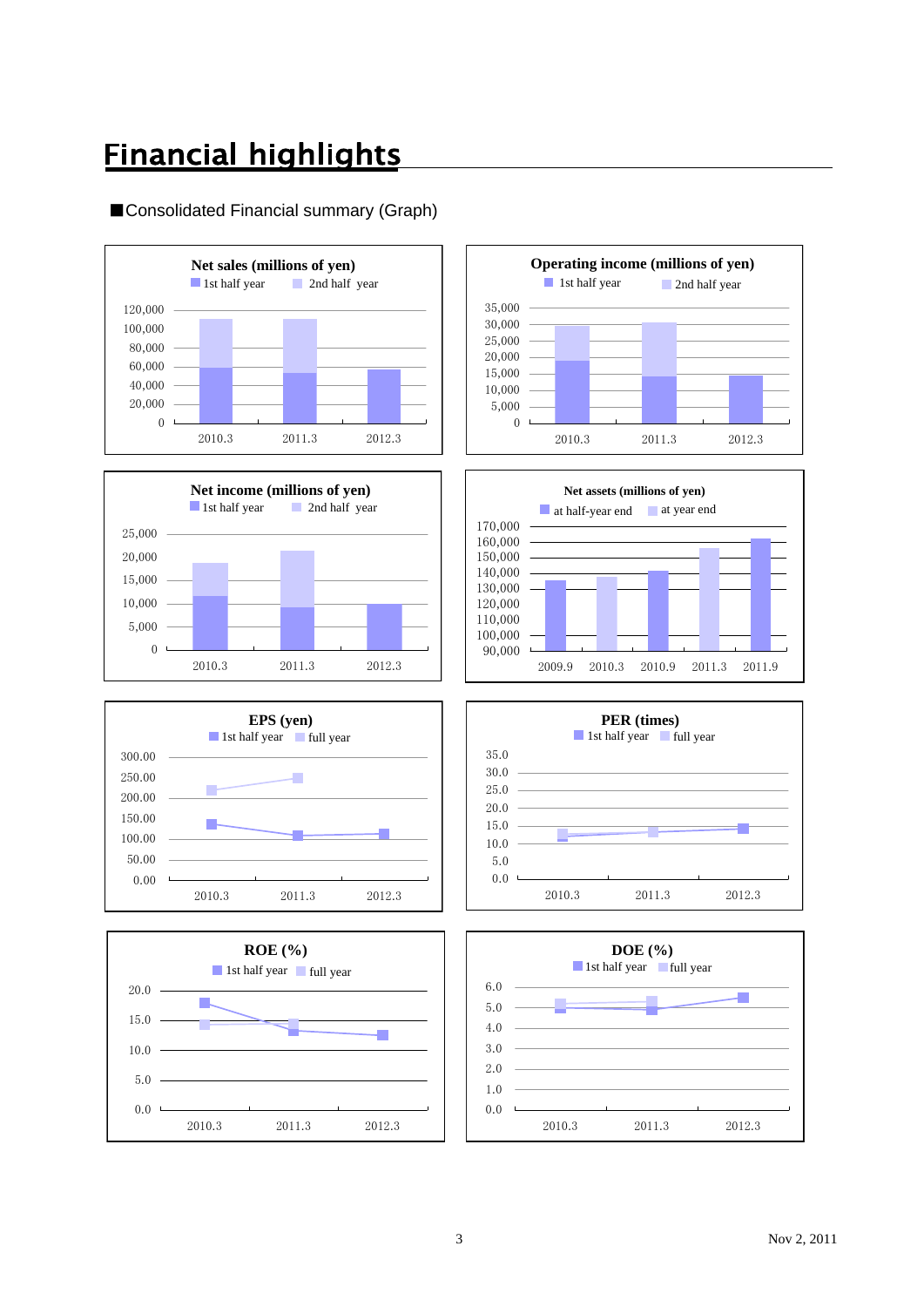### **Financial highlights**

#### ■Consolidated Financial summary (Graph)















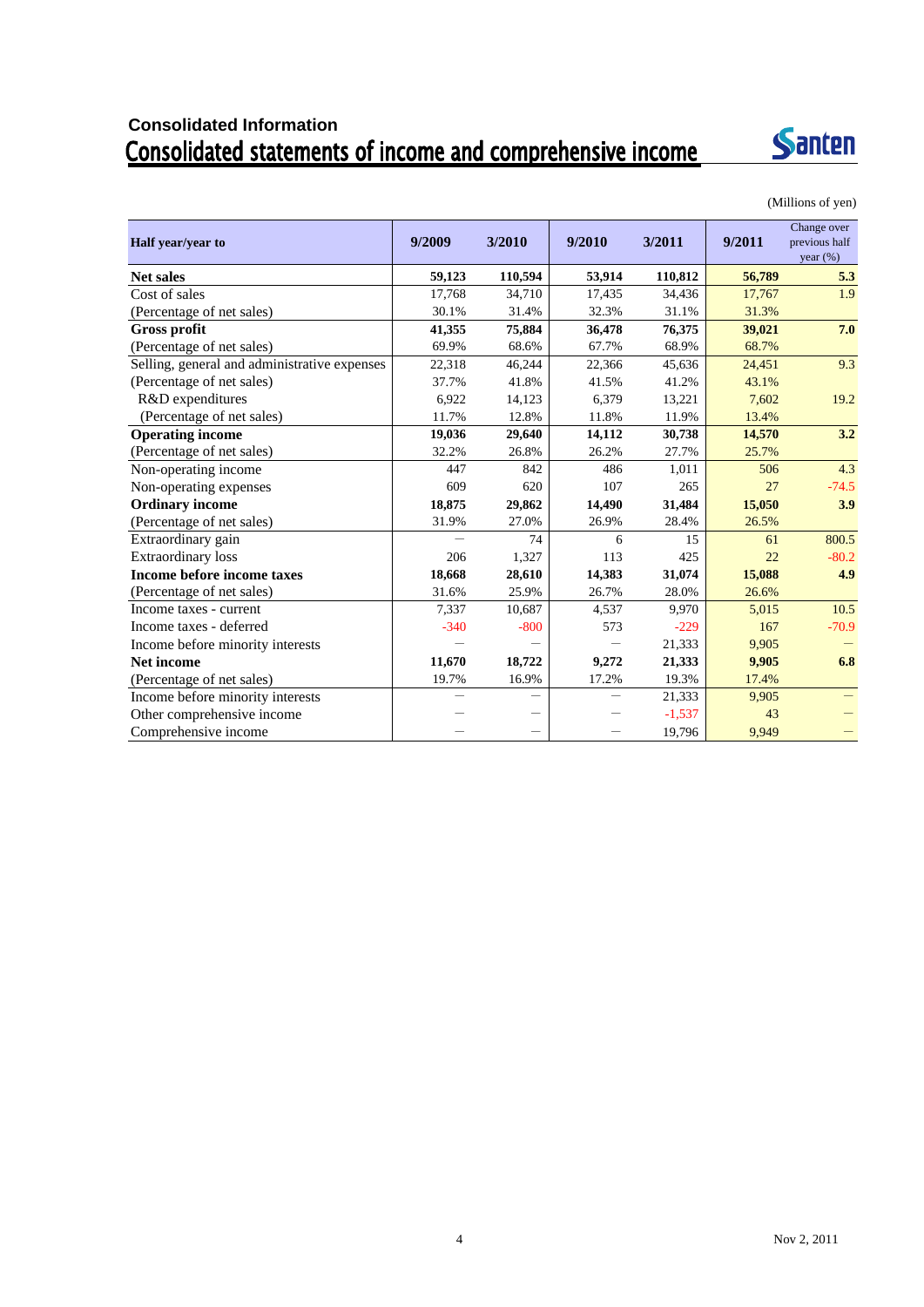# Consolidated Information<br>Consolidated statements of income and comprehensive income



(Millions of yen)

| Half year/year to                            | 9/2009 | 3/2010                   | 9/2010 | 3/2011   | 9/2011 | Change over<br>previous half<br>year $(\%)$ |
|----------------------------------------------|--------|--------------------------|--------|----------|--------|---------------------------------------------|
| <b>Net sales</b>                             | 59,123 | 110,594                  | 53,914 | 110,812  | 56,789 | 5.3                                         |
| Cost of sales                                | 17,768 | 34,710                   | 17,435 | 34,436   | 17,767 | 1.9                                         |
| (Percentage of net sales)                    | 30.1%  | 31.4%                    | 32.3%  | 31.1%    | 31.3%  |                                             |
| <b>Gross profit</b>                          | 41,355 | 75,884                   | 36,478 | 76,375   | 39,021 | 7.0                                         |
| (Percentage of net sales)                    | 69.9%  | 68.6%                    | 67.7%  | 68.9%    | 68.7%  |                                             |
| Selling, general and administrative expenses | 22,318 | 46,244                   | 22,366 | 45,636   | 24,451 | 9.3                                         |
| (Percentage of net sales)                    | 37.7%  | 41.8%                    | 41.5%  | 41.2%    | 43.1%  |                                             |
| R&D expenditures                             | 6,922  | 14,123                   | 6,379  | 13,221   | 7,602  | 19.2                                        |
| (Percentage of net sales)                    | 11.7%  | 12.8%                    | 11.8%  | 11.9%    | 13.4%  |                                             |
| <b>Operating income</b>                      | 19,036 | 29,640                   | 14,112 | 30,738   | 14,570 | 3.2                                         |
| (Percentage of net sales)                    | 32.2%  | 26.8%                    | 26.2%  | 27.7%    | 25.7%  |                                             |
| Non-operating income                         | 447    | 842                      | 486    | 1,011    | 506    | 4.3                                         |
| Non-operating expenses                       | 609    | 620                      | 107    | 265      | 27     | $-74.5$                                     |
| <b>Ordinary income</b>                       | 18,875 | 29,862                   | 14,490 | 31,484   | 15,050 | 3.9                                         |
| (Percentage of net sales)                    | 31.9%  | 27.0%                    | 26.9%  | 28.4%    | 26.5%  |                                             |
| Extraordinary gain                           |        | 74                       | 6      | 15       | 61     | 800.5                                       |
| <b>Extraordinary</b> loss                    | 206    | 1,327                    | 113    | 425      | 22     | $-80.2$                                     |
| Income before income taxes                   | 18,668 | 28,610                   | 14,383 | 31,074   | 15,088 | 4.9                                         |
| (Percentage of net sales)                    | 31.6%  | 25.9%                    | 26.7%  | 28.0%    | 26.6%  |                                             |
| Income taxes - current                       | 7,337  | 10,687                   | 4,537  | 9,970    | 5,015  | 10.5                                        |
| Income taxes - deferred                      | $-340$ | $-800$                   | 573    | $-229$   | 167    | $-70.9$                                     |
| Income before minority interests             |        |                          |        | 21,333   | 9,905  |                                             |
| <b>Net income</b>                            | 11,670 | 18,722                   | 9,272  | 21,333   | 9,905  | 6.8                                         |
| (Percentage of net sales)                    | 19.7%  | 16.9%                    | 17.2%  | 19.3%    | 17.4%  |                                             |
| Income before minority interests             |        |                          |        | 21,333   | 9,905  |                                             |
| Other comprehensive income                   |        | $\overline{\phantom{0}}$ |        | $-1,537$ | 43     |                                             |
| Comprehensive income                         |        | $\overline{\phantom{0}}$ |        | 19,796   | 9,949  |                                             |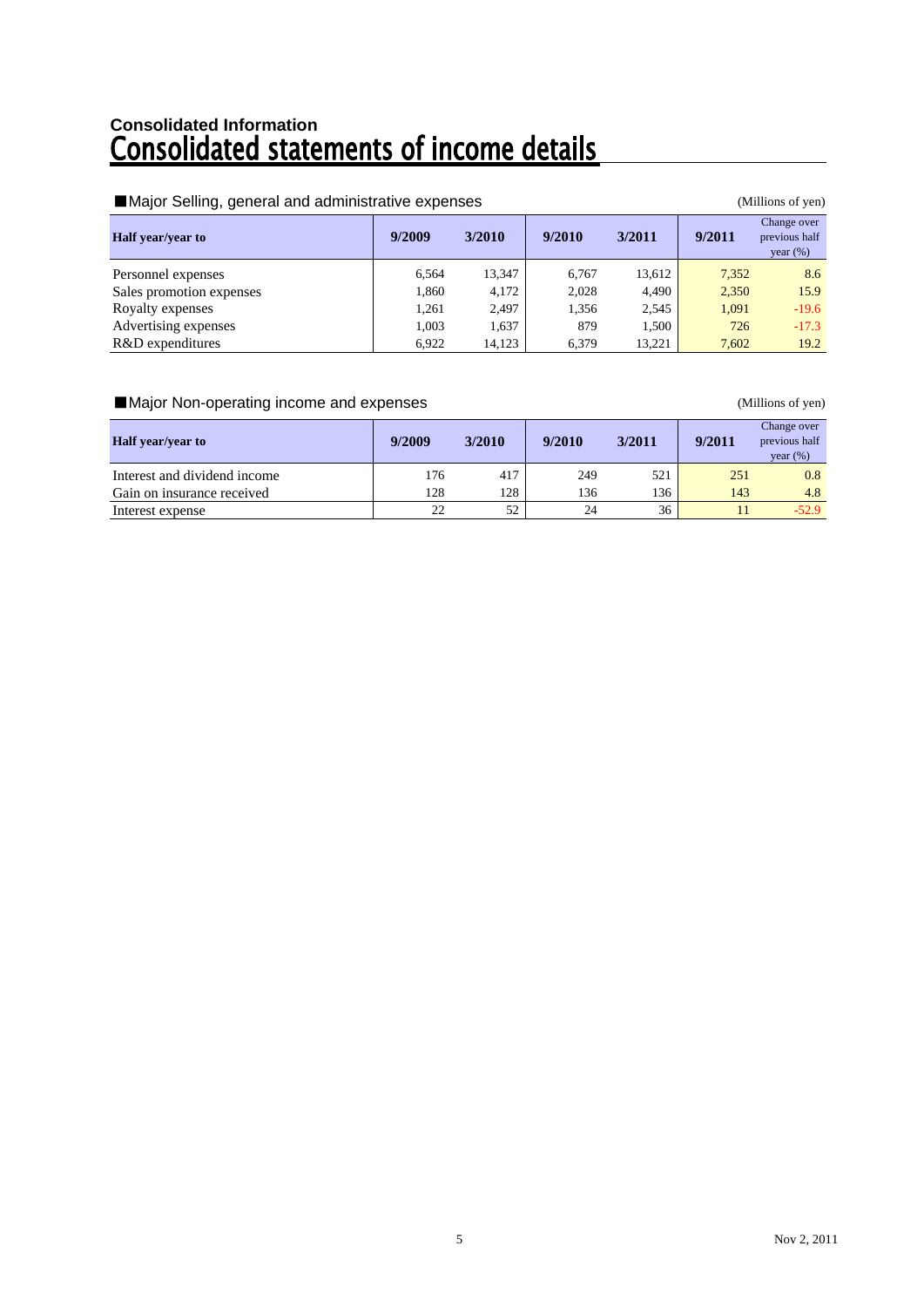# Consolidated Information<br>**Consolidated statements of income details**

| Major Selling, general and administrative expenses |        |        | (Millions of yen) |        |        |                                             |
|----------------------------------------------------|--------|--------|-------------------|--------|--------|---------------------------------------------|
| <b>Half</b> year/year to                           | 9/2009 | 3/2010 | 9/2010            | 3/2011 | 9/2011 | Change over<br>previous half<br>year $(\%)$ |
| Personnel expenses                                 | 6.564  | 13,347 | 6.767             | 13.612 | 7,352  | 8.6                                         |
| Sales promotion expenses                           | 1,860  | 4,172  | 2,028             | 4,490  | 2,350  | 15.9                                        |
| Royalty expenses                                   | 1.261  | 2,497  | 1.356             | 2,545  | 1.091  | $-19.6$                                     |
| Advertising expenses                               | 1.003  | 1,637  | 879               | 1.500  | 726    | $-17.3$                                     |
| R&D expenditures                                   | 6,922  | 14,123 | 6.379             | 13.221 | 7,602  | 19.2                                        |

#### ■Major Non-operating income and expenses (Millions of yen)

| <b>Half</b> year/year to     | 9/2009 | 3/2010 | 9/2010 | 3/2011 | 9/2011 | Change over<br>previous half<br>year $(\%)$ |
|------------------------------|--------|--------|--------|--------|--------|---------------------------------------------|
| Interest and dividend income | 176    | 417    | 249    | 521    | 251    | 0.8                                         |
| Gain on insurance received   | 128    | 128    | 136    | 136    | 143    | 4.8                                         |
| Interest expense             | 22     | 52     | 24     | 36     |        | $-52.9$                                     |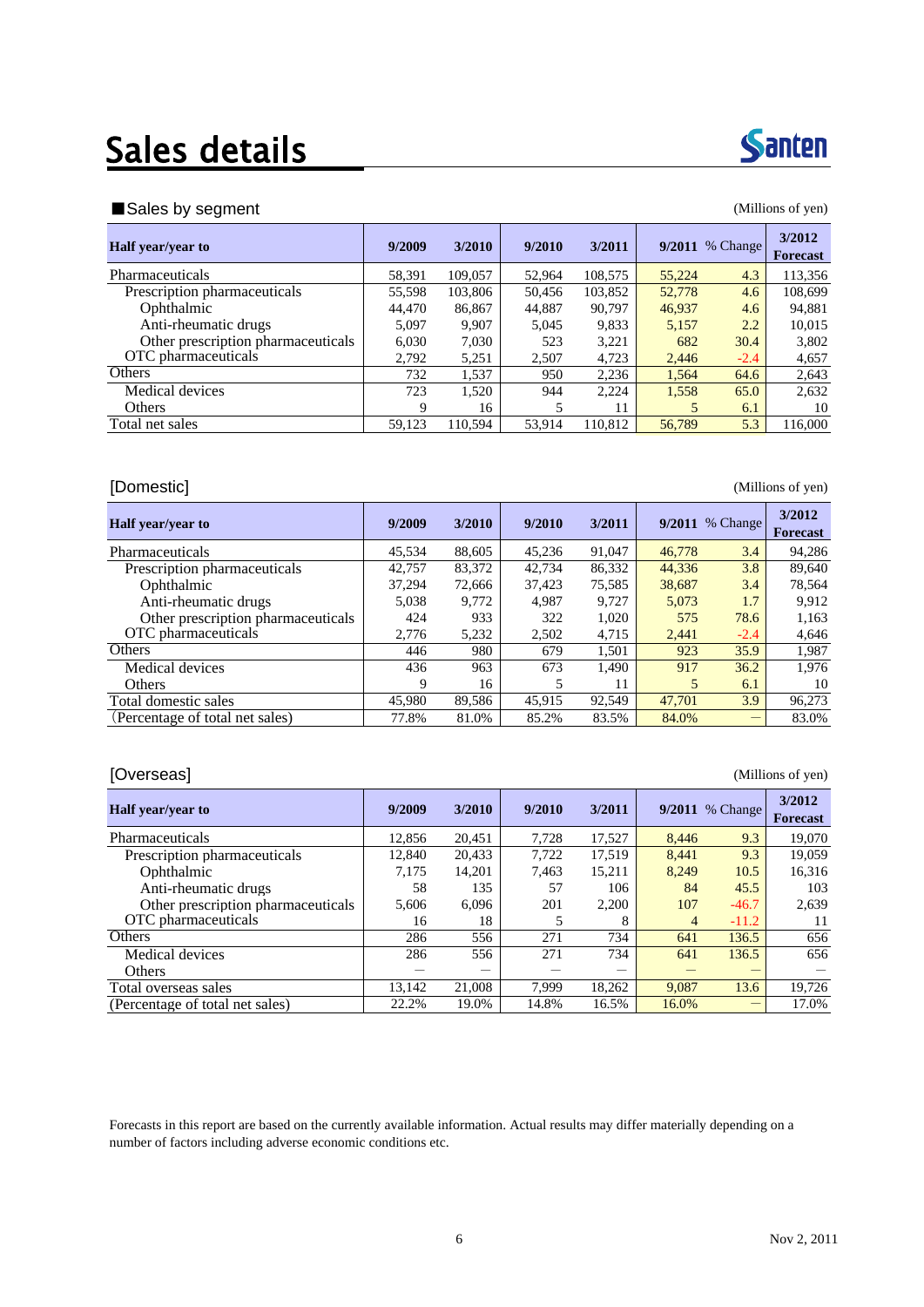## Sales details



#### ■ Sales by segment (Millions of yen)

| <b>Half</b> year/year to           | 9/2009 | 3/2010  | 9/2010 | 3/2011  | 9/2011 | % Change | 3/2012<br><b>Forecast</b> |
|------------------------------------|--------|---------|--------|---------|--------|----------|---------------------------|
| Pharmaceuticals                    | 58,391 | 109,057 | 52.964 | 108,575 | 55,224 | 4.3      | 113,356                   |
| Prescription pharmaceuticals       | 55,598 | 103,806 | 50.456 | 103,852 | 52,778 | 4.6      | 108,699                   |
| Ophthalmic                         | 44,470 | 86,867  | 44,887 | 90,797  | 46,937 | 4.6      | 94,881                    |
| Anti-rheumatic drugs               | 5.097  | 9.907   | 5.045  | 9,833   | 5,157  | 2.2      | 10,015                    |
| Other prescription pharmaceuticals | 6.030  | 7.030   | 523    | 3,221   | 682    | 30.4     | 3.802                     |
| OTC pharmaceuticals                | 2.792  | 5,251   | 2.507  | 4,723   | 2.446  | $-2.4$   | 4,657                     |
| Others                             | 732    | 1,537   | 950    | 2,236   | 1,564  | 64.6     | 2,643                     |
| Medical devices                    | 723    | 1,520   | 944    | 2,224   | 1,558  | 65.0     | 2,632                     |
| Others                             | 9      | 16      | 5      | 11      | 5      | 6.1      | 10                        |
| Total net sales                    | 59,123 | 110.594 | 53.914 | 110.812 | 56,789 | 5.3      | 116,000                   |
|                                    |        |         |        |         |        |          |                           |

### [Domestic] (Millions of yen)

| <b>Half</b> year/year to           | 9/2009 | 3/2010 | 9/2010 | 3/2011 |        | 9/2011 % Change | 3/2012<br><b>Forecast</b> |
|------------------------------------|--------|--------|--------|--------|--------|-----------------|---------------------------|
| <b>Pharmaceuticals</b>             | 45,534 | 88,605 | 45,236 | 91,047 | 46,778 | 3.4             | 94,286                    |
| Prescription pharmaceuticals       | 42,757 | 83,372 | 42.734 | 86,332 | 44,336 | 3.8             | 89,640                    |
| Ophthalmic                         | 37.294 | 72,666 | 37.423 | 75,585 | 38,687 | 3.4             | 78,564                    |
| Anti-rheumatic drugs               | 5,038  | 9.772  | 4.987  | 9.727  | 5,073  | 1.7             | 9,912                     |
| Other prescription pharmaceuticals | 424    | 933    | 322    | 1,020  | 575    | 78.6            | 1,163                     |
| OTC pharmaceuticals                | 2.776  | 5,232  | 2,502  | 4,715  | 2.441  | $-2.4$          | 4,646                     |
| Others                             | 446    | 980    | 679    | 1.501  | 923    | 35.9            | 1,987                     |
| Medical devices                    | 436    | 963    | 673    | 1,490  | 917    | 36.2            | 1.976                     |
| Others                             | 9      | 16     |        | 11     | 5      | 6.1             | 10                        |
| Total domestic sales               | 45,980 | 89.586 | 45.915 | 92.549 | 47.701 | 3.9             | 96.273                    |
| (Percentage of total net sales)    | 77.8%  | 81.0%  | 85.2%  | 83.5%  | 84.0%  |                 | 83.0%                     |

### [Overseas] (Millions of yen)

| <b>Half</b> year/year to           | 9/2009 | 3/2010 | 9/2010 | 3/2011 |                | $9/2011$ % Change | 3/2012<br><b>Forecast</b> |
|------------------------------------|--------|--------|--------|--------|----------------|-------------------|---------------------------|
| Pharmaceuticals                    | 12.856 | 20.451 | 7,728  | 17,527 | 8.446          | 9.3               | 19,070                    |
| Prescription pharmaceuticals       | 12.840 | 20,433 | 7,722  | 17,519 | 8.441          | 9.3               | 19,059                    |
| Ophthalmic                         | 7,175  | 14,201 | 7,463  | 15,211 | 8,249          | 10.5              | 16,316                    |
| Anti-rheumatic drugs               | 58     | 135    | 57     | 106    | 84             | 45.5              | 103                       |
| Other prescription pharmaceuticals | 5,606  | 6,096  | 201    | 2,200  | 107            | $-46.7$           | 2,639                     |
| OTC pharmaceuticals                | 16     | 18     | 5      | 8      | $\overline{4}$ | $-11.2$           | 11                        |
| <b>Others</b>                      | 286    | 556    | 271    | 734    | 641            | 136.5             | 656                       |
| Medical devices                    | 286    | 556    | 271    | 734    | 641            | 136.5             | 656                       |
| <b>Others</b>                      |        |        |        |        |                |                   |                           |
| Total overseas sales               | 13.142 | 21,008 | 7.999  | 18,262 | 9,087          | 13.6              | 19,726                    |
| (Percentage of total net sales)    | 22.2%  | 19.0%  | 14.8%  | 16.5%  | 16.0%          |                   | 17.0%                     |

Forecasts in this report are based on the currently available information. Actual results may differ materially depending on a number of factors including adverse economic conditions etc.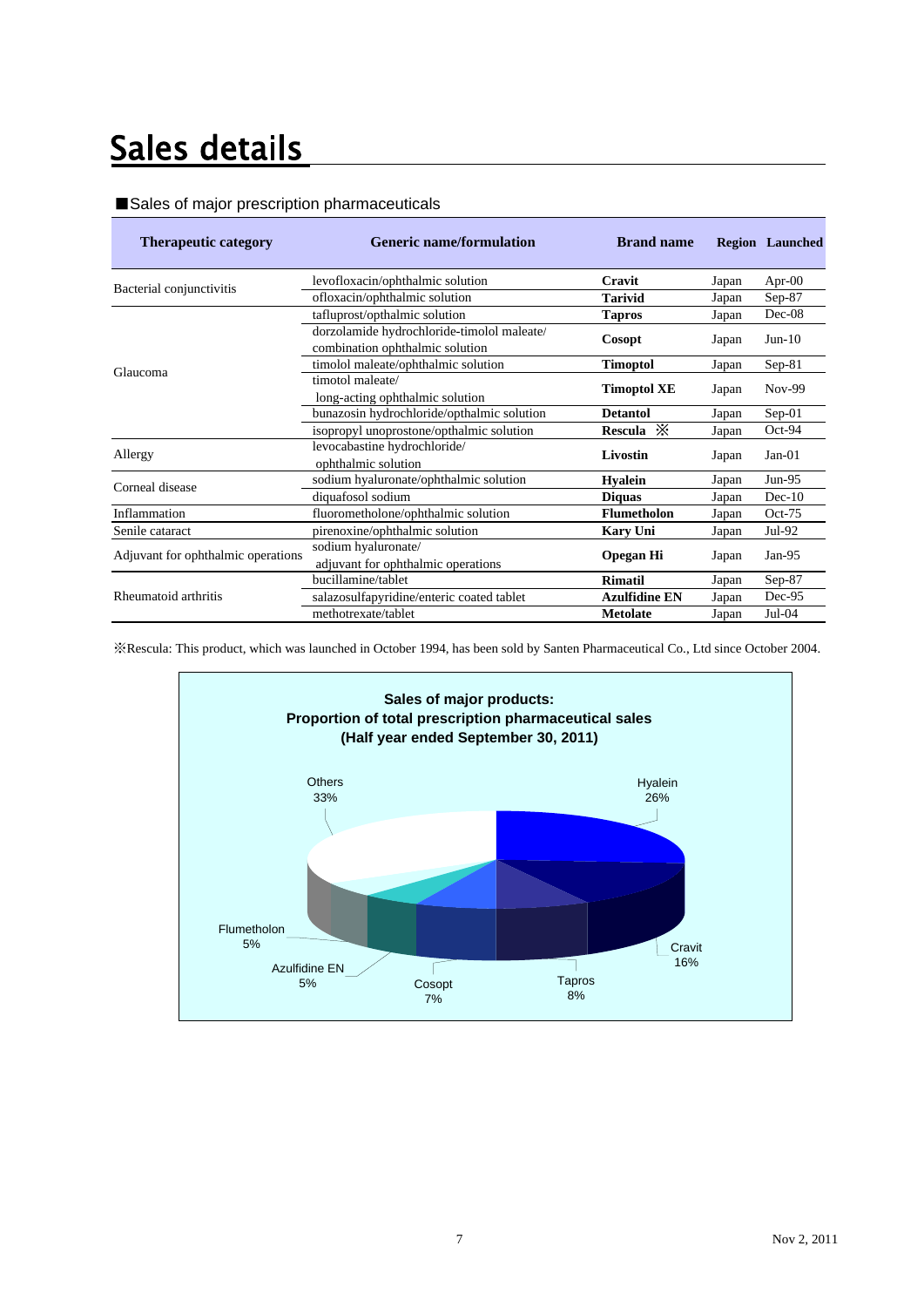## Sales details

#### ■Sales of major prescription pharmaceuticals

| <b>Therapeutic category</b>        | <b>Generic name/formulation</b>                                               | <b>Brand name</b>    |       | <b>Region</b> Launched |
|------------------------------------|-------------------------------------------------------------------------------|----------------------|-------|------------------------|
| Bacterial conjunctivitis           | levofloxacin/ophthalmic solution                                              | Cravit               | Japan | Apr- $00$              |
|                                    | ofloxacin/ophthalmic solution                                                 | Tarivid              | Japan | $Sep-87$               |
|                                    | tafluprost/opthalmic solution                                                 | <b>Tapros</b>        | Japan | Dec-08                 |
| Glaucoma                           | dorzolamide hydrochloride-timolol maleate/<br>combination ophthalmic solution | Cosopt               |       | $Jun-10$               |
|                                    | timolol maleate/ophthalmic solution                                           | <b>Timoptol</b>      | Japan | $Sep-81$               |
|                                    | timotol maleate/<br>long-acting ophthalmic solution                           | <b>Timoptol XE</b>   | Japan | $Nov-99$               |
|                                    | bunazosin hydrochloride/opthalmic solution                                    | <b>Detantol</b>      | Japan | $Sep-01$               |
|                                    | isopropyl unoprostone/opthalmic solution                                      | Rescula $\mathbb{X}$ | Japan | Oct-94                 |
| Allergy                            | levocabastine hydrochloride/<br>ophthalmic solution                           | Livostin             | Japan | $Jan-01$               |
| Corneal disease                    | sodium hyaluronate/ophthalmic solution                                        | <b>Hyalein</b>       | Japan | $Jun-95$               |
|                                    | diquafosol sodium                                                             | <b>Diquas</b>        | Japan | $Dec-10$               |
| Inflammation                       | fluorometholone/ophthalmic solution                                           | <b>Flumetholon</b>   | Japan | $Oct-75$               |
| Senile cataract                    | pirenoxine/ophthalmic solution                                                | <b>Kary Uni</b>      | Japan | $Jul-92$               |
| Adjuvant for ophthalmic operations | sodium hyaluronate/<br>adjuvant for ophthalmic operations                     |                      | Japan | $Jan-95$               |
|                                    | bucillamine/tablet                                                            | <b>Rimatil</b>       | Japan | $Sep-87$               |
| Rheumatoid arthritis               | salazosulfapyridine/enteric coated tablet                                     | <b>Azulfidine EN</b> | Japan | Dec-95                 |
|                                    | methotrexate/tablet                                                           | <b>Metolate</b>      | Japan | $Jul-04$               |

※Rescula: This product, which was launched in October 1994, has been sold by Santen Pharmaceutical Co., Ltd since October 2004.

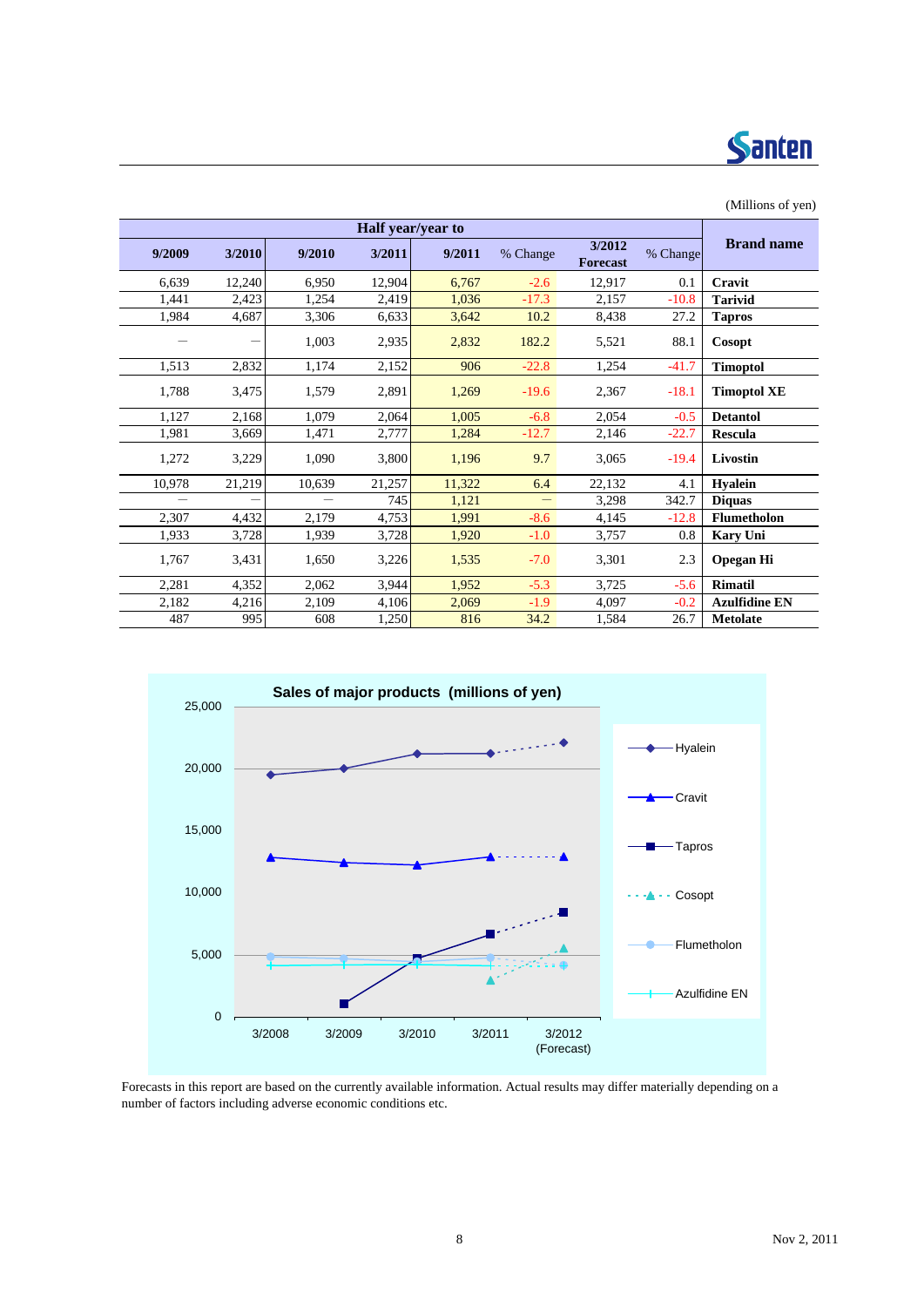

| (Millions of yen)    |          |                           |          |        |                   |        |        |        |
|----------------------|----------|---------------------------|----------|--------|-------------------|--------|--------|--------|
|                      |          |                           |          |        | Half year/year to |        |        |        |
| <b>Brand name</b>    | % Change | 3/2012<br><b>Forecast</b> | % Change | 9/2011 | 3/2011            | 9/2010 | 3/2010 | 9/2009 |
| Cravit               | 0.1      | 12,917                    | $-2.6$   | 6,767  | 12,904            | 6,950  | 12,240 | 6,639  |
| <b>Tarivid</b>       | $-10.8$  | 2,157                     | $-17.3$  | 1,036  | 2,419             | 1,254  | 2,423  | 1,441  |
| <b>Tapros</b>        | 27.2     | 8,438                     | 10.2     | 3,642  | 6,633             | 3,306  | 4,687  | 1,984  |
| Cosopt               | 88.1     | 5,521                     | 182.2    | 2,832  | 2,935             | 1,003  |        |        |
| <b>Timoptol</b>      | $-41.7$  | 1,254                     | $-22.8$  | 906    | 2,152             | 1,174  | 2,832  | 1,513  |
| <b>Timoptol XE</b>   | $-18.1$  | 2,367                     | $-19.6$  | 1,269  | 2,891             | 1,579  | 3,475  | 1,788  |
| <b>Detantol</b>      | $-0.5$   | 2,054                     | $-6.8$   | 1,005  | 2,064             | 1,079  | 2,168  | 1,127  |
| <b>Rescula</b>       | $-22.7$  | 2,146                     | $-12.7$  | 1,284  | 2,777             | 1,471  | 3,669  | 1,981  |
| Livostin             | $-19.4$  | 3,065                     | 9.7      | 1,196  | 3,800             | 1,090  | 3,229  | 1,272  |
| <b>Hyalein</b>       | 4.1      | 22,132                    | 6.4      | 11,322 | 21,257            | 10,639 | 21,219 | 10,978 |
| <b>Diquas</b>        | 342.7    | 3,298                     |          | 1,121  | 745               |        |        |        |
| <b>Flumetholon</b>   | $-12.8$  | 4,145                     | $-8.6$   | 1,991  | 4,753             | 2.179  | 4,432  | 2,307  |
| Kary Uni             | 0.8      | 3,757                     | $-1.0$   | 1,920  | 3,728             | 1,939  | 3,728  | 1,933  |
| <b>Opegan Hi</b>     | 2.3      | 3,301                     | $-7.0$   | 1,535  | 3,226             | 1,650  | 3,431  | 1,767  |
| <b>Rimatil</b>       | $-5.6$   | 3,725                     | $-5.3$   | 1,952  | 3,944             | 2,062  | 4,352  | 2,281  |
| <b>Azulfidine EN</b> | $-0.2$   | 4,097                     | $-1.9$   | 2,069  | 4,106             | 2,109  | 4,216  | 2,182  |
| <b>Metolate</b>      | 26.7     | 1,584                     | 34.2     | 816    | 1,250             | 608    | 995    | 487    |



Forecasts in this report are based on the currently available information. Actual results may differ materially depending on a number of factors including adverse economic conditions etc.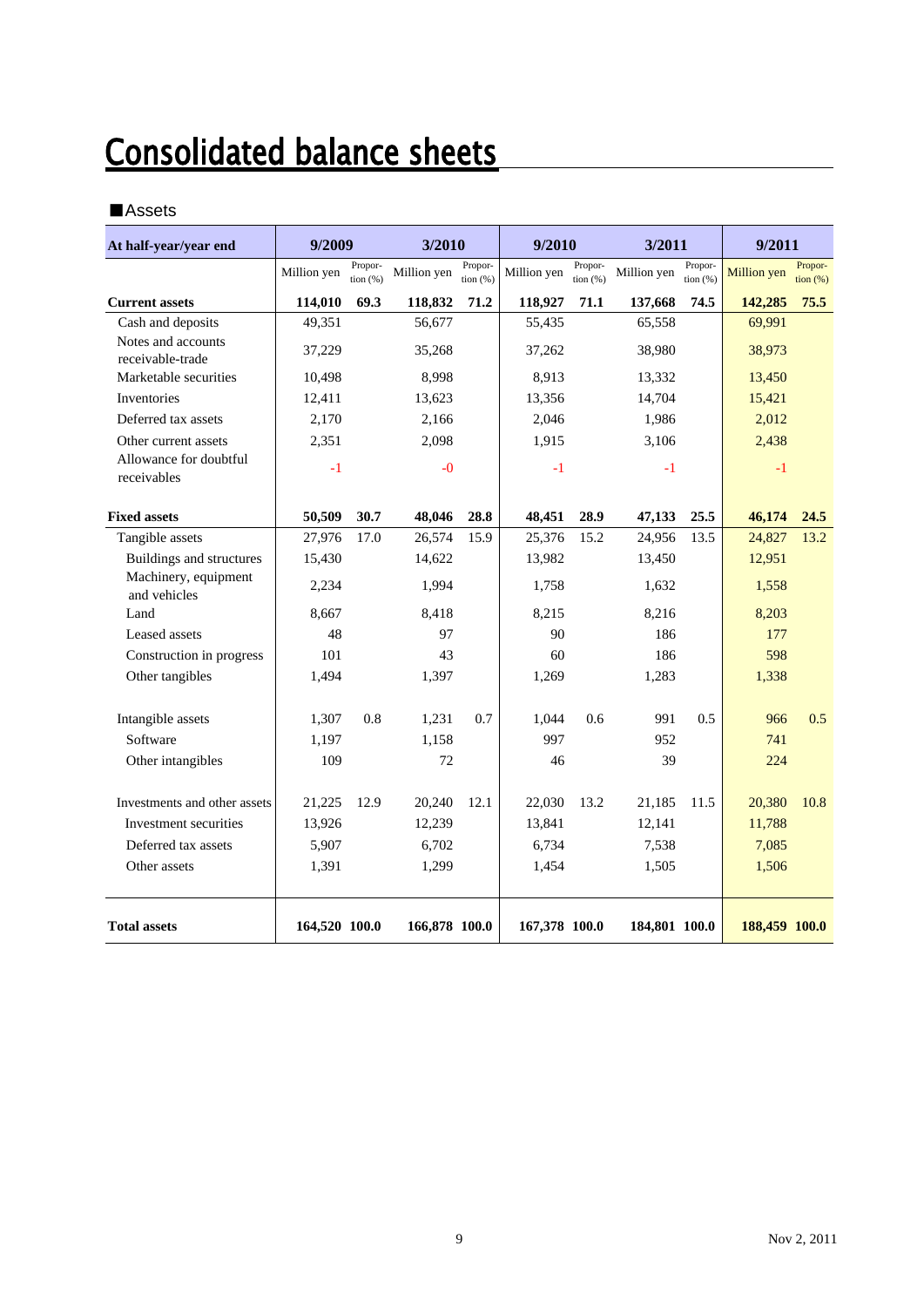## **Consolidated balance sheets**

#### ■Assets

| At half-year/year end                  | 9/2009        |                       | 3/2010        |                              | 9/2010        |                     | 3/2011        |                        | 9/2011        |                              |
|----------------------------------------|---------------|-----------------------|---------------|------------------------------|---------------|---------------------|---------------|------------------------|---------------|------------------------------|
|                                        | Million yen   | Propor-<br>tion $(%)$ | Million yen   | Propor-<br>$\frac{1}{2}$ (%) | Million yen   | Propor-<br>tion (%) | Million yen   | Propor-<br>tion $(% )$ | Million yen   | Propor-<br>$\frac{1}{2}$ (%) |
| <b>Current assets</b>                  | 114,010       | 69.3                  | 118,832       | 71.2                         | 118,927       | 71.1                | 137,668       | 74.5                   | 142,285       | 75.5                         |
| Cash and deposits                      | 49,351        |                       | 56,677        |                              | 55,435        |                     | 65,558        |                        | 69,991        |                              |
| Notes and accounts<br>receivable-trade | 37,229        |                       | 35,268        |                              | 37,262        |                     | 38,980        |                        | 38,973        |                              |
| Marketable securities                  | 10,498        |                       | 8,998         |                              | 8,913         |                     | 13,332        |                        | 13,450        |                              |
| Inventories                            | 12,411        |                       | 13,623        |                              | 13,356        |                     | 14,704        |                        | 15,421        |                              |
| Deferred tax assets                    | 2,170         |                       | 2,166         |                              | 2,046         |                     | 1,986         |                        | 2,012         |                              |
| Other current assets                   | 2,351         |                       | 2,098         |                              | 1,915         |                     | 3,106         |                        | 2,438         |                              |
| Allowance for doubtful<br>receivables  | $-1$          |                       | $-0$          |                              | $-1$          |                     | $-1$          |                        | $-1$          |                              |
| <b>Fixed assets</b>                    | 50,509        | 30.7                  | 48,046        | 28.8                         | 48,451        | 28.9                | 47,133        | 25.5                   | 46,174        | 24.5                         |
| Tangible assets                        | 27,976        | 17.0                  | 26,574        | 15.9                         | 25,376        | 15.2                | 24,956        | 13.5                   | 24,827        | 13.2                         |
| Buildings and structures               | 15,430        |                       | 14,622        |                              | 13,982        |                     | 13,450        |                        | 12,951        |                              |
| Machinery, equipment<br>and vehicles   | 2,234         |                       | 1,994         |                              | 1,758         |                     | 1,632         |                        | 1,558         |                              |
| Land                                   | 8,667         |                       | 8.418         |                              | 8.215         |                     | 8,216         |                        | 8,203         |                              |
| Leased assets                          | 48            |                       | 97            |                              | 90            |                     | 186           |                        | 177           |                              |
| Construction in progress               | 101           |                       | 43            |                              | 60            |                     | 186           |                        | 598           |                              |
| Other tangibles                        | 1,494         |                       | 1,397         |                              | 1,269         |                     | 1,283         |                        | 1,338         |                              |
| Intangible assets                      | 1,307         | 0.8                   | 1,231         | 0.7                          | 1,044         | 0.6                 | 991           | 0.5                    | 966           | 0.5                          |
| Software                               | 1,197         |                       | 1,158         |                              | 997           |                     | 952           |                        | 741           |                              |
| Other intangibles                      | 109           |                       | 72            |                              | 46            |                     | 39            |                        | 224           |                              |
| Investments and other assets           | 21,225        | 12.9                  | 20,240        | 12.1                         | 22,030        | 13.2                | 21,185        | 11.5                   | 20,380        | 10.8                         |
| Investment securities                  | 13,926        |                       | 12,239        |                              | 13,841        |                     | 12,141        |                        | 11,788        |                              |
| Deferred tax assets                    | 5,907         |                       | 6,702         |                              | 6,734         |                     | 7,538         |                        | 7,085         |                              |
| Other assets                           | 1,391         |                       | 1,299         |                              | 1,454         |                     | 1,505         |                        | 1,506         |                              |
| <b>Total assets</b>                    | 164,520 100.0 |                       | 166,878 100.0 |                              | 167,378 100.0 |                     | 184,801 100.0 |                        | 188,459 100.0 |                              |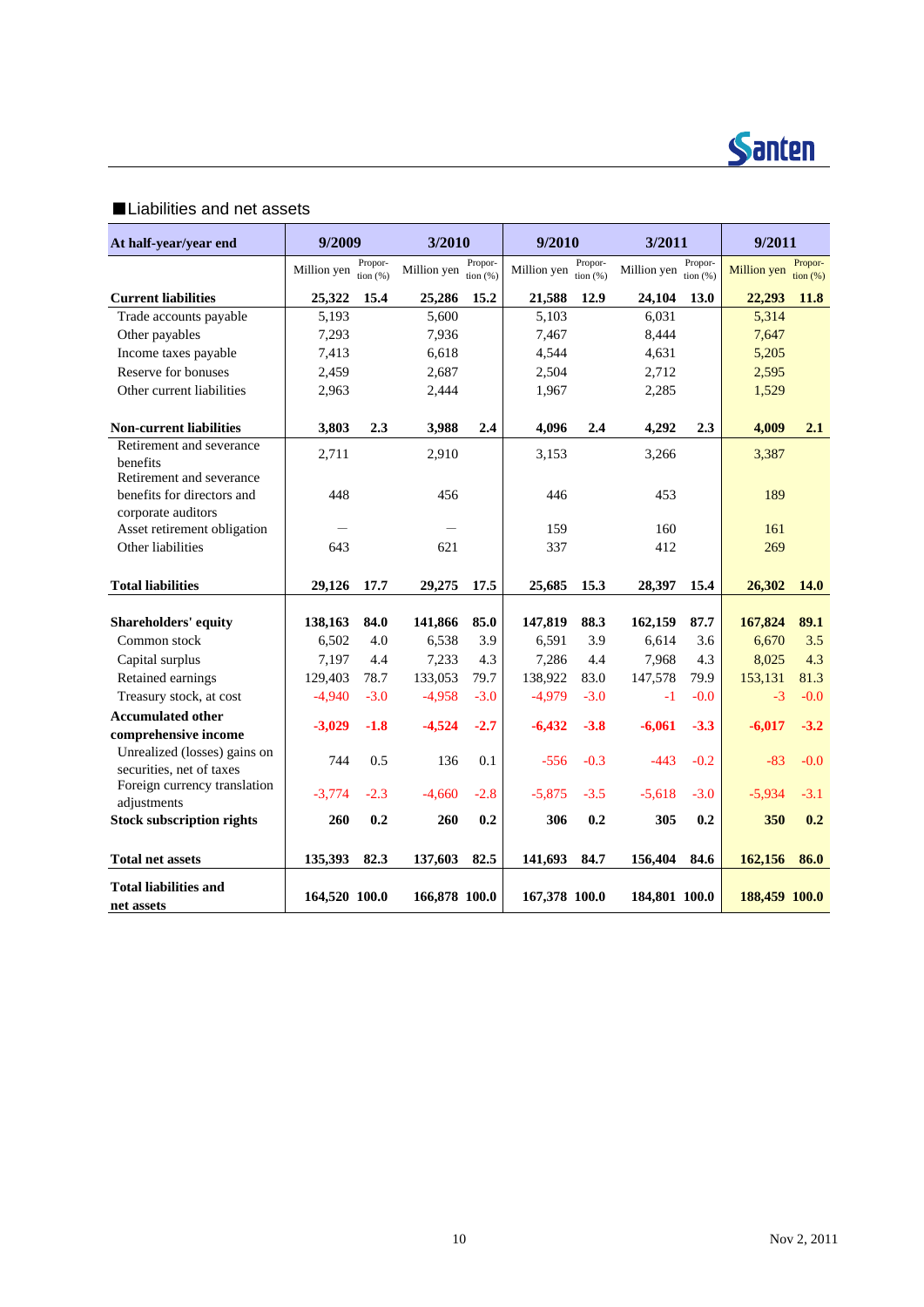

### ■Liabilities and net assets

| At half-year/year end                                            | 9/2009        |                        | 3/2010        |                        | 9/2010        |                       | 3/2011        |                        | 9/2011        |                              |  |  |  |  |  |  |  |  |  |  |  |  |  |  |  |  |  |     |  |  |
|------------------------------------------------------------------|---------------|------------------------|---------------|------------------------|---------------|-----------------------|---------------|------------------------|---------------|------------------------------|--|--|--|--|--|--|--|--|--|--|--|--|--|--|--|--|--|-----|--|--|
|                                                                  | Million yen   | Propor-<br>tion $(% )$ | Million yen   | Propor-<br>tion $(% )$ | Million yen   | Propor-<br>tion $(%)$ | Million yen   | Propor-<br>tion $(% )$ | Million yen   | Propor-<br>$\frac{1}{2}$ (%) |  |  |  |  |  |  |  |  |  |  |  |  |  |  |  |  |  |     |  |  |
| <b>Current liabilities</b>                                       | 25,322        | 15.4                   | 25,286        | 15.2                   | 21,588        | 12.9                  | 24,104        | 13.0                   | 22,293        | 11.8                         |  |  |  |  |  |  |  |  |  |  |  |  |  |  |  |  |  |     |  |  |
| Trade accounts payable                                           | 5,193         |                        | 5,600         |                        | 5,103         |                       | 6,031         |                        | 5,314         |                              |  |  |  |  |  |  |  |  |  |  |  |  |  |  |  |  |  |     |  |  |
| Other payables                                                   | 7,293         |                        | 7,936         |                        | 7,467         |                       | 8,444         |                        | 7,647         |                              |  |  |  |  |  |  |  |  |  |  |  |  |  |  |  |  |  |     |  |  |
| Income taxes payable                                             | 7,413         |                        | 6,618         |                        | 4,544         |                       | 4,631         |                        | 5,205         |                              |  |  |  |  |  |  |  |  |  |  |  |  |  |  |  |  |  |     |  |  |
| Reserve for bonuses                                              | 2,459         |                        | 2,687         |                        | 2,504         |                       | 2.712         |                        | 2,595         |                              |  |  |  |  |  |  |  |  |  |  |  |  |  |  |  |  |  |     |  |  |
| Other current liabilities                                        | 2,963         |                        | 2,444         |                        | 1,967         |                       | 2,285         |                        | 1,529         |                              |  |  |  |  |  |  |  |  |  |  |  |  |  |  |  |  |  |     |  |  |
| <b>Non-current liabilities</b>                                   | 3,803         | 2.3                    | 3,988         | 2.4                    | 4,096         | 2.4                   | 4,292         | 2.3                    | 4,009         | 2.1                          |  |  |  |  |  |  |  |  |  |  |  |  |  |  |  |  |  |     |  |  |
| Retirement and severance<br>benefits<br>Retirement and severance | 2,711         |                        | 2,910         |                        | 3,153         |                       | 3,266         |                        | 3,387         |                              |  |  |  |  |  |  |  |  |  |  |  |  |  |  |  |  |  |     |  |  |
| benefits for directors and<br>corporate auditors                 | 448           |                        | 456           |                        | 446           |                       | 453           |                        | 189           |                              |  |  |  |  |  |  |  |  |  |  |  |  |  |  |  |  |  |     |  |  |
| Asset retirement obligation                                      |               |                        |               |                        | 159           | 160                   |               |                        |               |                              |  |  |  |  |  |  |  |  |  |  |  |  |  |  |  |  |  | 161 |  |  |
| Other liabilities                                                | 643           |                        | 621           |                        | 337           |                       | 412           |                        | 269           |                              |  |  |  |  |  |  |  |  |  |  |  |  |  |  |  |  |  |     |  |  |
| <b>Total liabilities</b>                                         | 29,126        | 17.7                   | 29,275        | 17.5                   | 25,685        | 15.3                  | 28,397        | 15.4                   | 26,302        | <b>14.0</b>                  |  |  |  |  |  |  |  |  |  |  |  |  |  |  |  |  |  |     |  |  |
| Shareholders' equity                                             | 138,163       | 84.0                   | 141,866       | 85.0                   | 147,819       | 88.3                  | 162,159       | 87.7                   | 167,824       | 89.1                         |  |  |  |  |  |  |  |  |  |  |  |  |  |  |  |  |  |     |  |  |
| Common stock                                                     | 6,502         | 4.0                    | 6,538         | 3.9                    | 6.591         | 3.9                   | 6.614         | 3.6                    | 6,670         | 3.5                          |  |  |  |  |  |  |  |  |  |  |  |  |  |  |  |  |  |     |  |  |
| Capital surplus                                                  | 7,197         | 4.4                    | 7,233         | 4.3                    | 7,286         | 4.4                   | 7,968         | 4.3                    | 8,025         | 4.3                          |  |  |  |  |  |  |  |  |  |  |  |  |  |  |  |  |  |     |  |  |
| Retained earnings                                                | 129,403       | 78.7                   | 133,053       | 79.7                   | 138,922       | 83.0                  | 147,578       | 79.9                   | 153,131       | 81.3                         |  |  |  |  |  |  |  |  |  |  |  |  |  |  |  |  |  |     |  |  |
| Treasury stock, at cost                                          | $-4,940$      | $-3.0$                 | $-4,958$      | $-3.0$                 | $-4,979$      | $-3.0$                | $-1$          | $-0.0$                 | $-3$          | $-0.0$                       |  |  |  |  |  |  |  |  |  |  |  |  |  |  |  |  |  |     |  |  |
| <b>Accumulated other</b><br>comprehensive income                 | $-3,029$      | $-1.8$                 | $-4,524$      | $-2.7$                 | $-6,432$      | $-3.8$                | $-6,061$      | $-3.3$                 | $-6,017$      | $-3.2$                       |  |  |  |  |  |  |  |  |  |  |  |  |  |  |  |  |  |     |  |  |
| Unrealized (losses) gains on<br>securities, net of taxes         | 744           | 0.5                    | 136           | 0.1                    | $-556$        | $-0.3$                | $-443$        | $-0.2$                 | $-83$         | $-0.0$                       |  |  |  |  |  |  |  |  |  |  |  |  |  |  |  |  |  |     |  |  |
| Foreign currency translation<br>adjustments                      | $-3.774$      | $-2.3$                 | $-4.660$      | $-2.8$                 | $-5.875$      | $-3.5$                | $-5.618$      | $-3.0$                 | $-5.934$      | $-3.1$                       |  |  |  |  |  |  |  |  |  |  |  |  |  |  |  |  |  |     |  |  |
| <b>Stock subscription rights</b>                                 | 260           | 0.2                    | 260           | 0.2                    | 306           | 0.2                   | 305           | 0.2                    | 350           | 0.2                          |  |  |  |  |  |  |  |  |  |  |  |  |  |  |  |  |  |     |  |  |
| <b>Total net assets</b>                                          | 135,393       | 82.3                   | 137,603       | 82.5                   | 141,693       | 84.7                  | 156,404       | 84.6                   | 162,156       | 86.0                         |  |  |  |  |  |  |  |  |  |  |  |  |  |  |  |  |  |     |  |  |
| <b>Total liabilities and</b><br>net assets                       | 164,520 100.0 |                        | 166,878 100.0 |                        | 167,378 100.0 |                       | 184,801 100.0 |                        | 188,459 100.0 |                              |  |  |  |  |  |  |  |  |  |  |  |  |  |  |  |  |  |     |  |  |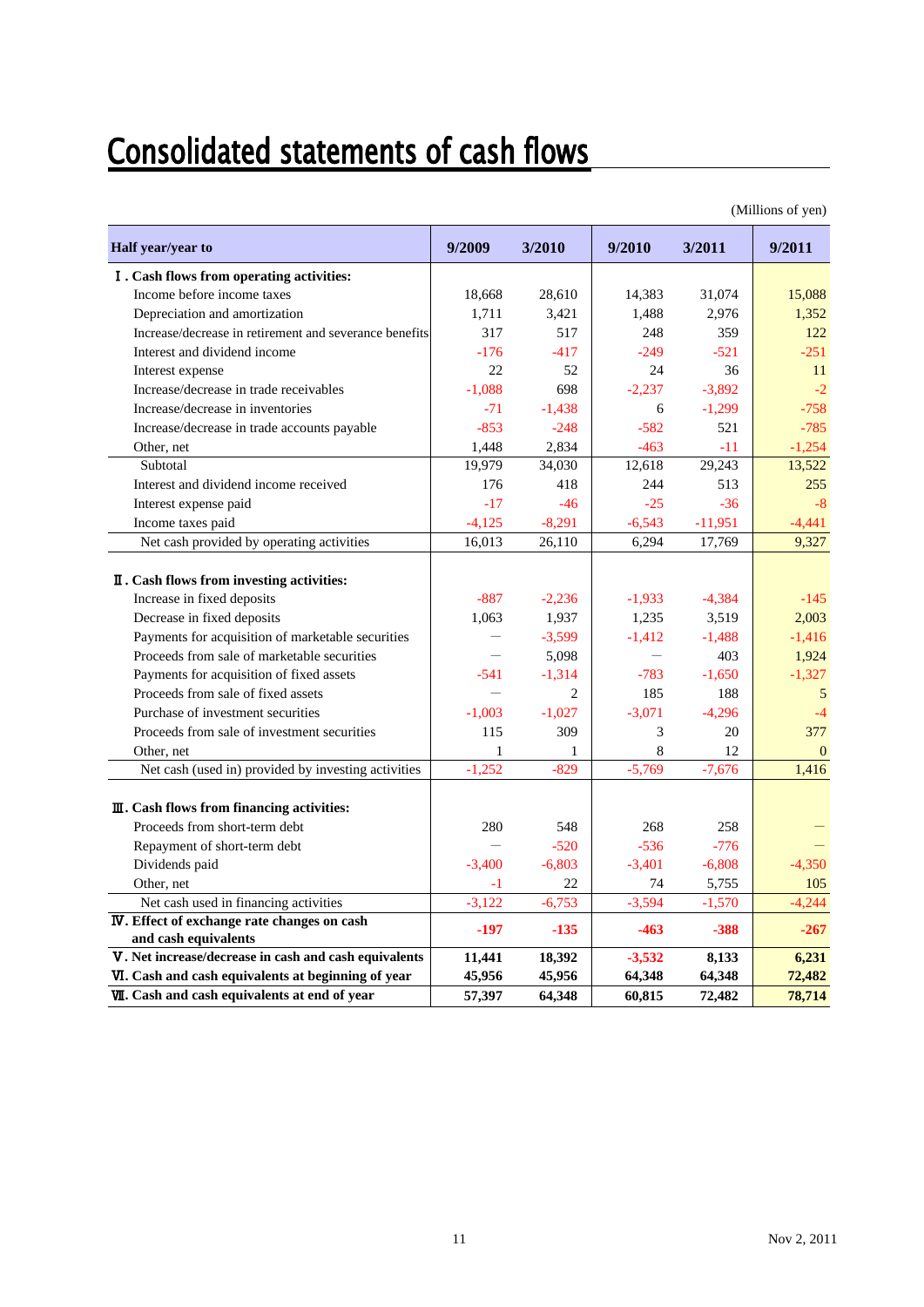## **Consolidated statements of cash flows**

|                                                                             |              |                |          |           | (Millions of yen) |
|-----------------------------------------------------------------------------|--------------|----------------|----------|-----------|-------------------|
| Half year/year to                                                           | 9/2009       | 3/2010         | 9/2010   | 3/2011    | 9/2011            |
| I. Cash flows from operating activities:                                    |              |                |          |           |                   |
| Income before income taxes                                                  | 18,668       | 28,610         | 14,383   | 31,074    | 15,088            |
| Depreciation and amortization                                               | 1,711        | 3,421          | 1,488    | 2,976     | 1,352             |
| Increase/decrease in retirement and severance benefits                      | 317          | 517            | 248      | 359       | 122               |
| Interest and dividend income                                                | $-176$       | $-417$         | $-249$   | $-521$    | $-251$            |
| Interest expense                                                            | 22           | 52             | 24       | 36        | 11                |
| Increase/decrease in trade receivables                                      | $-1,088$     | 698            | $-2,237$ | $-3,892$  | $-2$              |
| Increase/decrease in inventories                                            | $-71$        | $-1,438$       | 6        | $-1,299$  | $-758$            |
| Increase/decrease in trade accounts payable                                 | $-853$       | $-248$         | $-582$   | 521       | $-785$            |
| Other, net                                                                  | 1,448        | 2,834          | $-463$   | $-11$     | $-1,254$          |
| Subtotal                                                                    | 19,979       | 34,030         | 12,618   | 29,243    | 13,522            |
| Interest and dividend income received                                       | 176          | 418            | 244      | 513       | 255               |
| Interest expense paid                                                       | $-17$        | $-46$          | $-25$    | $-36$     | $-8$              |
| Income taxes paid                                                           | $-4,125$     | $-8.291$       | $-6.543$ | $-11,951$ | $-4.441$          |
| Net cash provided by operating activities                                   | 16,013       | 26,110         | 6,294    | 17,769    | 9,327             |
| II. Cash flows from investing activities:<br>Increase in fixed deposits     | $-887$       | $-2,236$       | $-1,933$ | $-4,384$  | $-145$            |
| Decrease in fixed deposits                                                  | 1,063        | 1,937          | 1,235    | 3,519     | 2,003             |
| Payments for acquisition of marketable securities                           |              | $-3,599$       | $-1,412$ | $-1,488$  | $-1,416$          |
| Proceeds from sale of marketable securities                                 |              | 5,098          |          | 403       | 1,924             |
| Payments for acquisition of fixed assets                                    | $-541$       | $-1,314$       | $-783$   | $-1,650$  | $-1,327$          |
| Proceeds from sale of fixed assets                                          |              | $\overline{c}$ | 185      | 188       | 5                 |
| Purchase of investment securities                                           | $-1,003$     | $-1,027$       | $-3,071$ | $-4,296$  | $-4$              |
| Proceeds from sale of investment securities                                 | 115          | 309            | 3        | 20        | 377               |
| Other, net                                                                  | $\mathbf{1}$ | $\mathbf{1}$   | 8        | 12        | $\Omega$          |
| Net cash (used in) provided by investing activities                         | $-1,252$     | $-829$         | $-5,769$ | $-7,676$  | 1,416             |
| $\mathbf{I}$ . Cash flows from financing activities:                        |              |                |          |           |                   |
| Proceeds from short-term debt                                               | 280          | 548            | 268      | 258       |                   |
| Repayment of short-term debt                                                |              | $-520$         | $-536$   | $-776$    |                   |
| Dividends paid                                                              | $-3,400$     | $-6,803$       | $-3,401$ | $-6,808$  | $-4,350$          |
| Other, net                                                                  | $-1$         | 22             | 74       | 5,755     | 105               |
| Net cash used in financing activities                                       | $-3,122$     | $-6,753$       | $-3,594$ | $-1,570$  | $-4,244$          |
| <b>IV</b> . Effect of exchange rate changes on cash<br>and cash equivalents | $-197$       | $-135$         | $-463$   | $-388$    | $-267$            |
| V. Net increase/decrease in cash and cash equivalents                       | 11,441       | 18,392         | $-3,532$ | 8,133     | 6,231             |
| VI. Cash and cash equivalents at beginning of year                          | 45,956       | 45,956         | 64,348   | 64,348    | 72,482            |
| <b>VII.</b> Cash and cash equivalents at end of year                        | 57,397       | 64,348         | 60,815   | 72,482    | 78,714            |

 $\alpha$  and  $\alpha$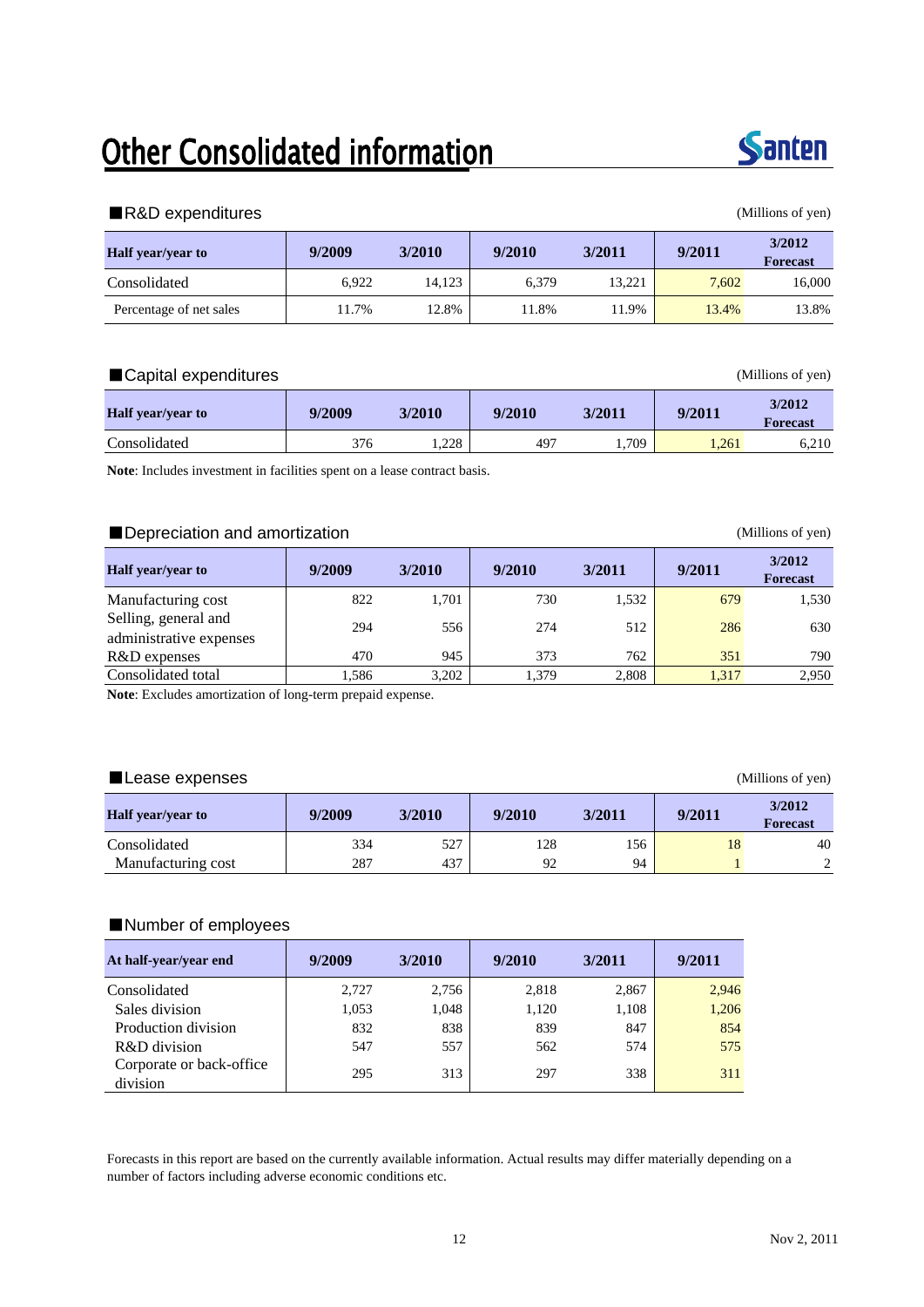## **Other Consolidated information**



#### ■R&D expenditures (Millions of yen)

| <b>Half</b> year/year to | 9/2009 | 3/2010 | 9/2010 | 3/2011 | 9/2011 | 3/2012<br><b>Forecast</b> |
|--------------------------|--------|--------|--------|--------|--------|---------------------------|
| Consolidated             | 6.922  | 14.123 | 6.379  | 13,221 | 7.602  | 16,000                    |
| Percentage of net sales  | 11.7%  | 12.8%  | 11.8%  | 11.9%  | 13.4%  | 13.8%                     |

#### ■Capital expenditures (Millions of yen)

| <b>Half</b> vear/vear to | 9/2009 | 3/2010 | 9/2010 | 3/2011 | 9/2011 | 3/2012<br><b>Forecast</b> |
|--------------------------|--------|--------|--------|--------|--------|---------------------------|
| Consolidated             | 376    | 1,228  | 497    | .,709  | 1.261  | 6,210                     |

**Note**: Includes investment in facilities spent on a lease contract basis.

#### ■Depreciation and amortization (Millions of yen)

| <b>Half</b> year/year to                        | 9/2009 | 3/2010 | 9/2010 | 3/2011 | 9/2011 | 3/2012<br><b>Forecast</b> |
|-------------------------------------------------|--------|--------|--------|--------|--------|---------------------------|
| Manufacturing cost                              | 822    | 1.701  | 730    | 1,532  | 679    | 1,530                     |
| Selling, general and<br>administrative expenses | 294    | 556    | 274    | 512    | 286    | 630                       |
| R&D expenses                                    | 470    | 945    | 373    | 762    | 351    | 790                       |
| Consolidated total                              | 1,586  | 3,202  | 1.379  | 2,808  | 1,317  | 2.950                     |

**Note**: Excludes amortization of long-term prepaid expense.

#### ■Lease expenses (Millions of yen)

**Half year/year to 9/2009 3/2010 9/2010 3/2011 9/2011 3/2012 Forecast** Consolidated 334 527 128 156 18 40 Manufacturing cost 287 437 92 94 1 2

#### ■Number of employees

| At half-year/year end                | 9/2009 | 3/2010 | 9/2010 | 3/2011 | 9/2011 |
|--------------------------------------|--------|--------|--------|--------|--------|
| Consolidated                         | 2,727  | 2,756  | 2,818  | 2,867  | 2,946  |
| Sales division                       | 1,053  | 1,048  | 1,120  | 1,108  | 1,206  |
| Production division                  | 832    | 838    | 839    | 847    | 854    |
| R&D division                         | 547    | 557    | 562    | 574    | 575    |
| Corporate or back-office<br>division | 295    | 313    | 297    | 338    | 311    |

Forecasts in this report are based on the currently available information. Actual results may differ materially depending on a number of factors including adverse economic conditions etc.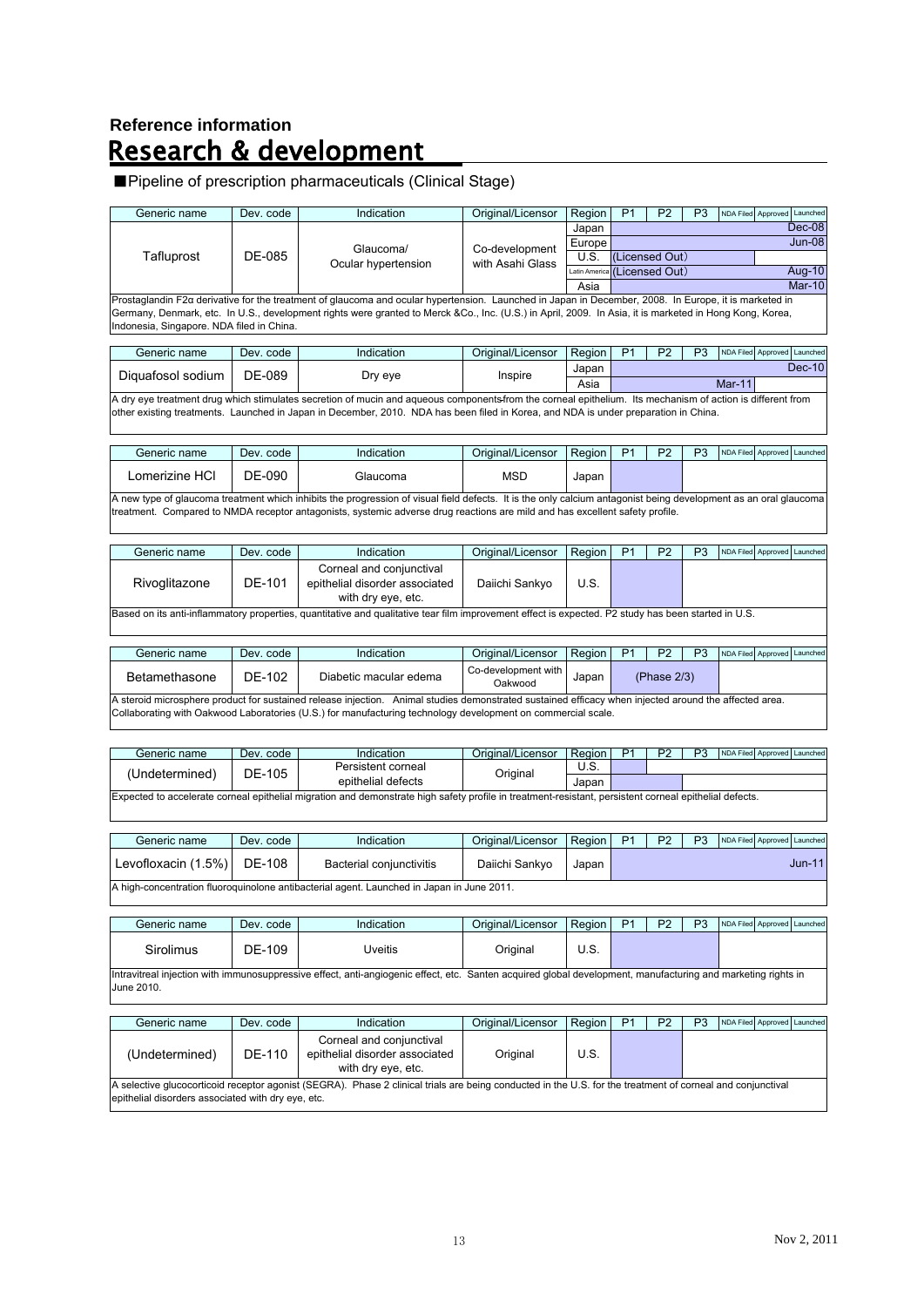# Reference information<br>**Research & development**

### ■Pipeline of prescription pharmaceuticals (Clinical Stage)

|                                                    | Dev. code | Indication                                                                                                                                                       | Original/Licensor   | Region        | P <sub>1</sub> | P <sub>2</sub> | P <sub>3</sub> | NDA Filed Approved Launched |                    |                             |
|----------------------------------------------------|-----------|------------------------------------------------------------------------------------------------------------------------------------------------------------------|---------------------|---------------|----------------|----------------|----------------|-----------------------------|--------------------|-----------------------------|
|                                                    |           |                                                                                                                                                                  |                     | Japan         |                |                |                |                             |                    | Dec-08                      |
|                                                    |           | Glaucoma/                                                                                                                                                        |                     | Europe        |                |                |                |                             |                    | $Jun-08$                    |
| Tafluprost                                         | DE-085    |                                                                                                                                                                  | Co-development      | U.S.          |                | (Licensed Out) |                |                             |                    |                             |
|                                                    |           | Ocular hypertension                                                                                                                                              | with Asahi Glass    | Latin America |                | (Licensed Out) |                |                             |                    | Aug-10                      |
|                                                    |           |                                                                                                                                                                  |                     | Asia          |                |                |                |                             |                    | <b>Mar-10</b>               |
|                                                    |           | Prostaglandin F2a derivative for the treatment of glaucoma and ocular hypertension. Launched in Japan in December, 2008. In Europe, it is marketed in            |                     |               |                |                |                |                             |                    |                             |
|                                                    |           | Germany, Denmark, etc. In U.S., development rights were granted to Merck &Co., Inc. (U.S.) in April, 2009. In Asia, it is marketed in Hong Kong, Korea,          |                     |               |                |                |                |                             |                    |                             |
| Indonesia, Singapore. NDA filed in China.          |           |                                                                                                                                                                  |                     |               |                |                |                |                             |                    |                             |
|                                                    |           |                                                                                                                                                                  |                     |               |                |                |                |                             |                    |                             |
| Generic name                                       | Dev. code | Indication                                                                                                                                                       | Original/Licensor   | Region        | P1             | P <sub>2</sub> | P <sub>3</sub> | <b>NDA Filed</b>            | Approved           | Launched                    |
|                                                    |           |                                                                                                                                                                  |                     | Japan         |                |                |                |                             |                    | <b>Dec-10</b>               |
| Diquafosol sodium                                  | DE-089    | Dry eye                                                                                                                                                          | Inspire             |               |                |                |                | <b>Mar-11</b>               |                    |                             |
|                                                    |           |                                                                                                                                                                  |                     | Asia          |                |                |                |                             |                    |                             |
|                                                    |           | A dry eye treatment drug which stimulates secretion of mucin and aqueous components from the corneal epithelium. Its mechanism of action is different from       |                     |               |                |                |                |                             |                    |                             |
|                                                    |           | other existing treatments. Launched in Japan in December, 2010. NDA has been filed in Korea, and NDA is under preparation in China.                              |                     |               |                |                |                |                             |                    |                             |
|                                                    |           |                                                                                                                                                                  |                     |               |                |                |                |                             |                    |                             |
|                                                    |           |                                                                                                                                                                  |                     |               |                |                |                |                             |                    |                             |
| Generic name                                       | Dev. code | Indication                                                                                                                                                       | Original/Licensor   | Region        | P <sub>1</sub> | P <sub>2</sub> | P <sub>3</sub> | NDA Filed                   | Approved           | Launched                    |
| Lomerizine HCl                                     | DE-090    | Glaucoma                                                                                                                                                         | <b>MSD</b>          | Japan         |                |                |                |                             |                    |                             |
|                                                    |           |                                                                                                                                                                  |                     |               |                |                |                |                             |                    |                             |
|                                                    |           | A new type of glaucoma treatment which inhibits the progression of visual field defects. It is the only calcium antagonist being development as an oral glaucoma |                     |               |                |                |                |                             |                    |                             |
|                                                    |           | treatment. Compared to NMDA receptor antagonists, systemic adverse drug reactions are mild and has excellent safety profile.                                     |                     |               |                |                |                |                             |                    |                             |
|                                                    |           |                                                                                                                                                                  |                     |               |                |                |                |                             |                    |                             |
|                                                    |           |                                                                                                                                                                  |                     |               |                |                |                |                             |                    |                             |
| Generic name                                       | Dev. code | Indication                                                                                                                                                       | Original/Licensor   | Region        | P <sub>1</sub> | P <sub>2</sub> | P <sub>3</sub> | <b>NDA Filed</b>            | Approved           | Launched                    |
|                                                    |           |                                                                                                                                                                  |                     |               |                |                |                |                             |                    |                             |
|                                                    |           | Corneal and conjunctival                                                                                                                                         |                     |               |                |                |                |                             |                    |                             |
| Rivoglitazone                                      | DE-101    | epithelial disorder associated                                                                                                                                   | Daiichi Sankyo      | U.S.          |                |                |                |                             |                    |                             |
|                                                    |           | with dry eye, etc.                                                                                                                                               |                     |               |                |                |                |                             |                    |                             |
|                                                    |           | Based on its anti-inflammatory properties, quantitative and qualitative tear film improvement effect is expected. P2 study has been started in U.S.              |                     |               |                |                |                |                             |                    |                             |
|                                                    |           |                                                                                                                                                                  |                     |               |                |                |                |                             |                    |                             |
|                                                    |           |                                                                                                                                                                  |                     |               |                |                |                |                             |                    |                             |
| Generic name                                       | Dev. code | Indication                                                                                                                                                       | Original/Licensor   | Region        | P <sub>1</sub> | P <sub>2</sub> | P <sub>3</sub> |                             | NDA Filed Approved | Launched                    |
|                                                    |           |                                                                                                                                                                  | Co-development with |               |                |                |                |                             |                    |                             |
| Betamethasone                                      | DE-102    | Diabetic macular edema                                                                                                                                           | Oakwood             | Japan         |                | (Phase 2/3)    |                |                             |                    |                             |
|                                                    |           | A steroid microsphere product for sustained release injection. Animal studies demonstrated sustained efficacy when injected around the affected area.            |                     |               |                |                |                |                             |                    |                             |
|                                                    |           | Collaborating with Oakwood Laboratories (U.S.) for manufacturing technology development on commercial scale.                                                     |                     |               |                |                |                |                             |                    |                             |
|                                                    |           |                                                                                                                                                                  |                     |               |                |                |                |                             |                    |                             |
|                                                    |           |                                                                                                                                                                  |                     |               |                |                |                |                             |                    |                             |
| Generic name                                       | Dev. code | Indication                                                                                                                                                       | Original/Licensor   | Region        | P <sub>1</sub> | P <sub>2</sub> | P <sub>3</sub> |                             |                    |                             |
|                                                    |           |                                                                                                                                                                  |                     | U.S.          |                |                |                |                             |                    |                             |
| (Undetermined)                                     |           |                                                                                                                                                                  |                     |               |                |                |                |                             |                    | NDA Filed Approved Launched |
|                                                    | DE-105    | Persistent corneal                                                                                                                                               | Original            |               |                |                |                |                             |                    |                             |
|                                                    |           | epithelial defects                                                                                                                                               |                     | Japan         |                |                |                |                             |                    |                             |
|                                                    |           | Expected to accelerate corneal epithelial migration and demonstrate high safety profile in treatment-resistant, persistent corneal epithelial defects.           |                     |               |                |                |                |                             |                    |                             |
|                                                    |           |                                                                                                                                                                  |                     |               |                |                |                |                             |                    |                             |
|                                                    |           |                                                                                                                                                                  |                     |               |                |                |                |                             |                    |                             |
| Generic name                                       | Dev. code | Indication                                                                                                                                                       | Original/Licensor   | Region        | P <sub>1</sub> | P <sub>2</sub> | P <sub>3</sub> | <b>NDA Filed</b>            | Approved           | Launched                    |
|                                                    |           |                                                                                                                                                                  |                     |               |                |                |                |                             |                    |                             |
| Levofloxacin (1.5%)                                | DE-108    | Bacterial conjunctivitis                                                                                                                                         | Daiichi Sankyo      | Japan         |                |                |                |                             |                    | $Jun-11$                    |
|                                                    |           |                                                                                                                                                                  |                     |               |                |                |                |                             |                    |                             |
|                                                    |           | A high-concentration fluoroquinolone antibacterial agent. Launched in Japan in June 2011.                                                                        |                     |               |                |                |                |                             |                    |                             |
|                                                    |           |                                                                                                                                                                  |                     |               |                |                |                |                             |                    |                             |
| Generic name                                       | Dev. code | Indication                                                                                                                                                       | Original/Licensor   | Region        | P <sub>1</sub> | P <sub>2</sub> | P <sub>3</sub> |                             | NDA Filed Approved |                             |
|                                                    |           |                                                                                                                                                                  |                     |               |                |                |                |                             |                    |                             |
|                                                    |           |                                                                                                                                                                  |                     |               |                |                |                |                             |                    |                             |
| Sirolimus                                          | DE-109    | <b>Uveitis</b>                                                                                                                                                   | Original            | U.S.          |                |                |                |                             |                    | Launched                    |
|                                                    |           | Intravitreal injection with immunosuppressive effect, anti-angiogenic effect, etc. Santen acquired global development, manufacturing and marketing rights in     |                     |               |                |                |                |                             |                    |                             |
| June 2010.                                         |           |                                                                                                                                                                  |                     |               |                |                |                |                             |                    |                             |
|                                                    |           |                                                                                                                                                                  |                     |               |                |                |                |                             |                    |                             |
|                                                    |           |                                                                                                                                                                  |                     |               |                |                |                |                             |                    |                             |
| Generic name                                       | Dev. code | Indication                                                                                                                                                       | Original/Licensor   | Region        | P <sub>1</sub> | P <sub>2</sub> | P <sub>3</sub> | <b>NDA Filed</b>            | Approved           | Launched                    |
|                                                    |           | Corneal and conjunctival                                                                                                                                         |                     |               |                |                |                |                             |                    |                             |
|                                                    |           | epithelial disorder associated                                                                                                                                   |                     | U.S.          |                |                |                |                             |                    |                             |
| (Undetermined)                                     | DE-110    |                                                                                                                                                                  | Original            |               |                |                |                |                             |                    |                             |
|                                                    |           | with dry eye, etc.                                                                                                                                               |                     |               |                |                |                |                             |                    |                             |
| epithelial disorders associated with dry eye, etc. |           | A selective glucocorticoid receptor agonist (SEGRA). Phase 2 clinical trials are being conducted in the U.S. for the treatment of corneal and conjunctival       |                     |               |                |                |                |                             |                    |                             |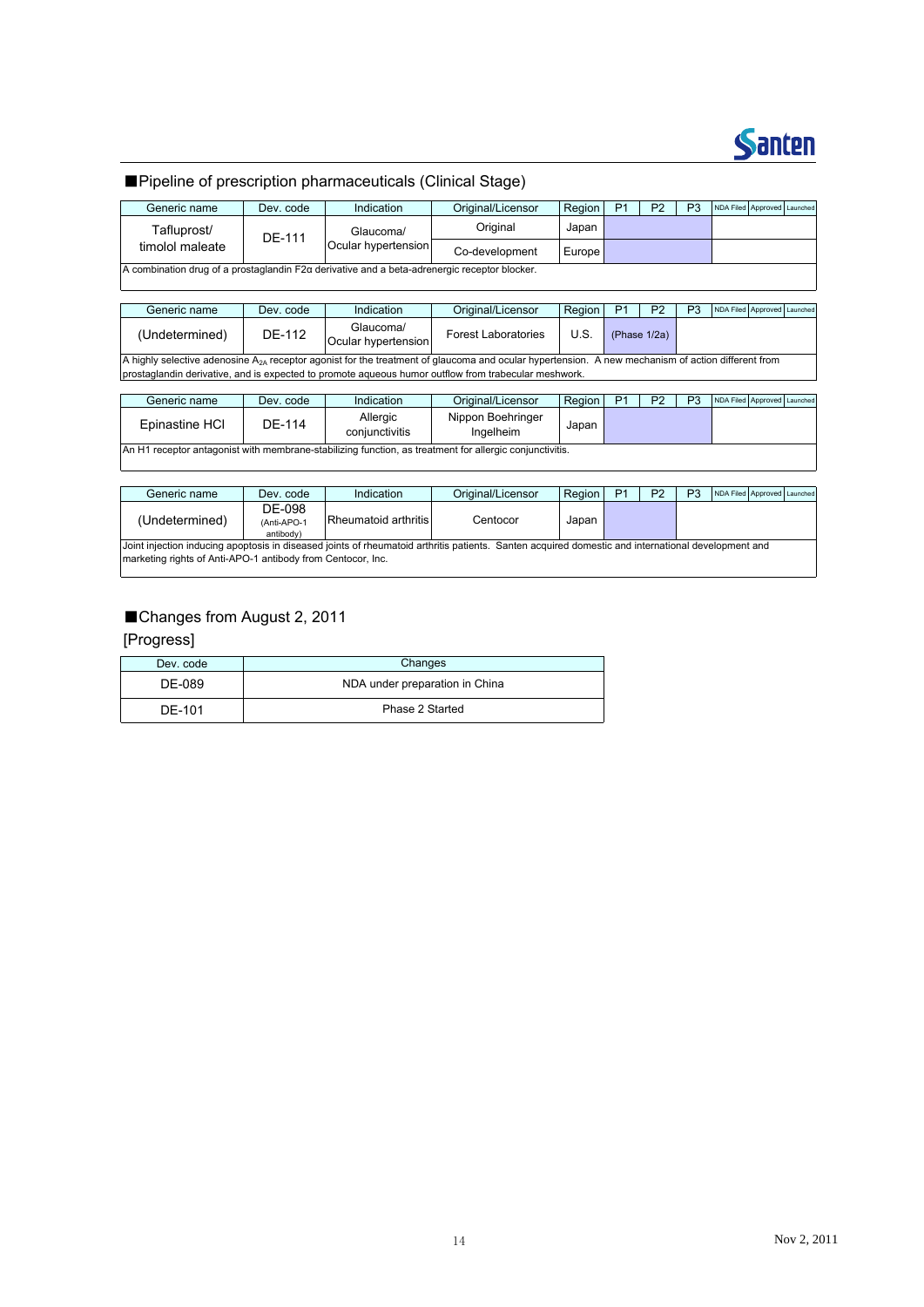

#### ■Pipeline of prescription pharmaceuticals (Clinical Stage)

| Generic name                                                                                 | Dev. code | Indication                       | Original/Licensor          | Region | P <sub>1</sub>  | P <sub>2</sub> | P3 | NDA Filed Approved Launched |  |  |
|----------------------------------------------------------------------------------------------|-----------|----------------------------------|----------------------------|--------|-----------------|----------------|----|-----------------------------|--|--|
| Tafluprost/                                                                                  | DE-111    | Glaucoma/                        | Original                   | Japan  |                 |                |    |                             |  |  |
| timolol maleate                                                                              |           | Ocular hypertension              | Co-development             | Europe |                 |                |    |                             |  |  |
| A combination drug of a prostaglandin F2α derivative and a beta-adrenergic receptor blocker. |           |                                  |                            |        |                 |                |    |                             |  |  |
|                                                                                              |           |                                  |                            |        |                 |                |    |                             |  |  |
| Generic name                                                                                 | Dev. code | Indication                       | Original/Licensor          | Region | P <sub>1</sub>  | P <sub>2</sub> | P3 | NDA Filed Approved Launched |  |  |
| (Undetermined)                                                                               | DE-112    | Glaucoma/<br>Ocular hypertension | <b>Forest Laboratories</b> | U.S.   | (Phase $1/2a$ ) |                |    |                             |  |  |

A highly selective adenosine  $A_{2A}$  receptor agonist for the treatment of glaucoma and ocular hypertension. A new mechanism of action different from prostaglandin derivative, and is expected to promote aqueous humor outflow from trabecular meshwork.

| Generic name                                                                                            | Dev. code | Indication                 | Original/Licensor              | Region I | D <sub>1</sub> | P <sub>2</sub> | D | NDA Filed Approved Launched |  |
|---------------------------------------------------------------------------------------------------------|-----------|----------------------------|--------------------------------|----------|----------------|----------------|---|-----------------------------|--|
| Epinastine HCI                                                                                          | DF-114    | Allergic<br>conjunctivitis | Nippon Boehringer<br>Ingelheim | Japan    |                |                |   |                             |  |
| An H1 receptor antagonist with membrane-stabilizing function, as treatment for allergic conjunctivitis. |           |                            |                                |          |                |                |   |                             |  |

| Generic name                                                                                                                                                                                                      | Dev. code                          | Indication           | Original/Licensor | Region | P <sub>1</sub> | P <sub>2</sub> | P3 | NDA Filed Approved Launched |  |
|-------------------------------------------------------------------------------------------------------------------------------------------------------------------------------------------------------------------|------------------------------------|----------------------|-------------------|--------|----------------|----------------|----|-----------------------------|--|
| (Undetermined)                                                                                                                                                                                                    | DE-098<br>(Anti-APO-1<br>antibody) | Rheumatoid arthritis | Centocor          | Japan  |                |                |    |                             |  |
| Joint injection inducing apoptosis in diseased joints of rheumatoid arthritis patients. Santen acquired domestic and international development and<br>marketing rights of Anti-APO-1 antibody from Centocor, Inc. |                                    |                      |                   |        |                |                |    |                             |  |

#### ■Changes from August 2, 2011

#### [Progress]

| Dev. code | Changes                        |
|-----------|--------------------------------|
| DE-089    | NDA under preparation in China |
| DE-101    | Phase 2 Started                |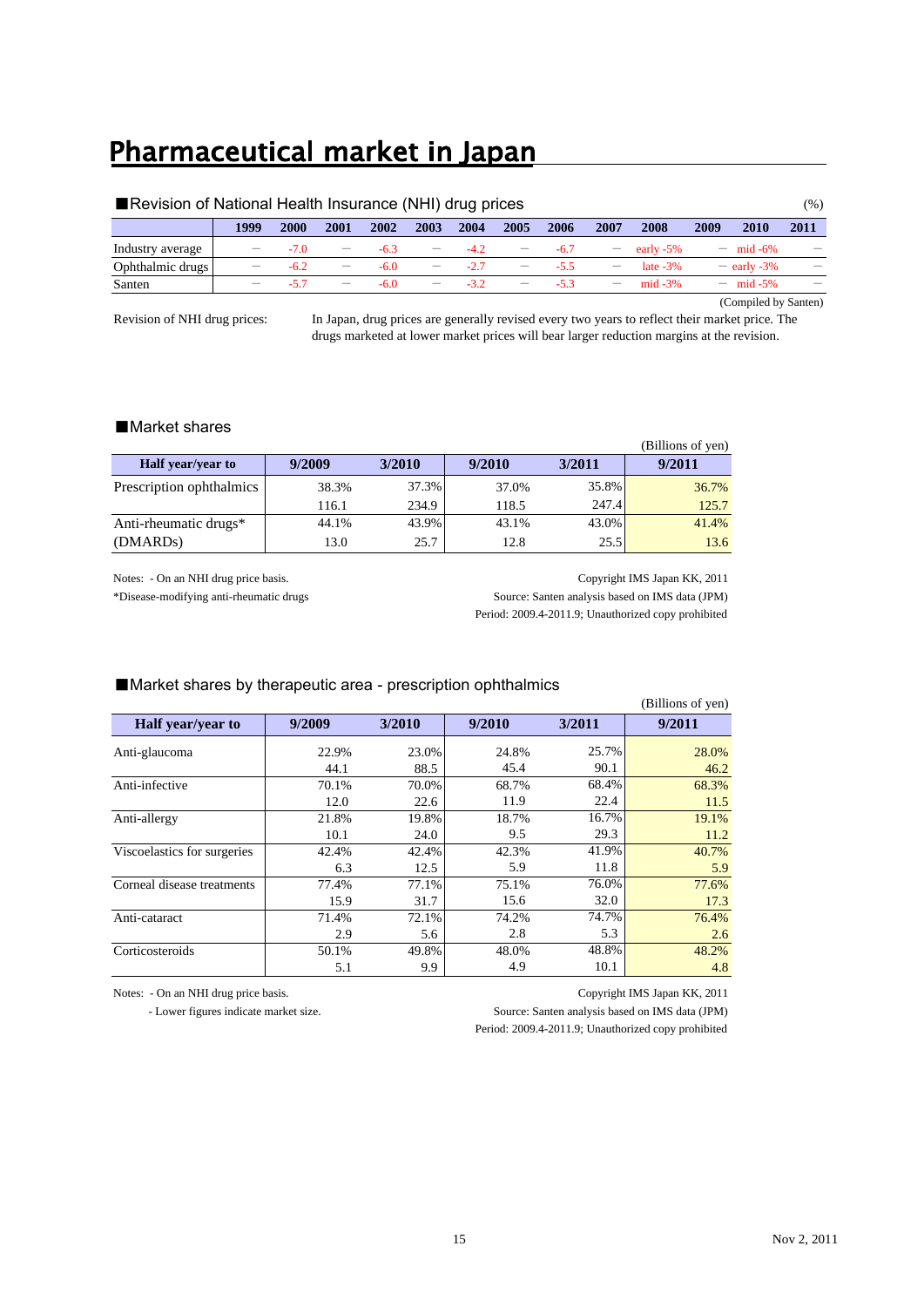### Pharmaceutical market in Japan

| Revision of National Health Insurance (NHI) drug prices |                          |        |                                 |        |                          |        |                          |        |                                 | $(\%)$      |      |                      |                          |
|---------------------------------------------------------|--------------------------|--------|---------------------------------|--------|--------------------------|--------|--------------------------|--------|---------------------------------|-------------|------|----------------------|--------------------------|
|                                                         | 1999                     | 2000   | 2001                            | 2002   | 2003                     | 2004   | 2005                     | 2006   | 2007                            | 2008        | 2009 | 2010                 | 2011                     |
| Industry average                                        | $\overline{\phantom{0}}$ | $-70$  | $\qquad \qquad -$               | $-6.3$ | $\qquad \qquad -$        | $-4.2$ |                          | $-6.7$ | $\overline{\phantom{m}}$        | early -5%   |      | $- \text{mid } -6\%$ |                          |
| Ophthalmic drugs                                        | $\overline{\phantom{0}}$ | $-6.2$ | $\hspace{0.1mm}-\hspace{0.1mm}$ | $-6.0$ | $\overline{\phantom{m}}$ | $-2.7$ | $\overline{\phantom{m}}$ | $-55$  | $\hspace{0.1mm}-\hspace{0.1mm}$ | late $-3\%$ |      | $-$ early -3%        | $\overline{\phantom{m}}$ |
| Santen                                                  |                          | $-57$  | $\overline{\phantom{m}}$        | $-6.0$ | $\overline{\phantom{m}}$ | $-32$  | $\overline{\phantom{m}}$ | $-53$  | $\overline{\phantom{m}}$        | $mid -3%$   |      | $- \text{mid } -5\%$ |                          |
|                                                         |                          |        |                                 |        |                          |        |                          |        |                                 |             |      | (Compiled by Santen) |                          |

Revision of NHI drug prices:

In Japan, drug prices are generally revised every two years to reflect their market price. The drugs marketed at lower market prices will bear larger reduction margins at the revision.

#### ■Market shares

|                          |        |        |        |        | (Billions of yen) |
|--------------------------|--------|--------|--------|--------|-------------------|
| <b>Half</b> year/year to | 9/2009 | 3/2010 | 9/2010 | 3/2011 | 9/2011            |
| Prescription ophthalmics | 38.3%  | 37.3%  | 37.0%  | 35.8%  | 36.7%             |
|                          | 116.1  | 234.9  | 118.5  | 247.4  | 125.7             |
| Anti-rheumatic drugs*    | 44.1%  | 43.9%  | 43.1%  | 43.0%  | 41.4%             |
| (DMARD <sub>s</sub> )    | 13.0   | 25.7   | 12.8   | 25.5   | 13.6              |

Notes: - On an NHI drug price basis. Copyright IMS Japan KK, 2011 \*Disease-modifying anti-rheumatic drugs Source: Santen analysis based on IMS data (JPM) Period: 2009.4-2011.9; Unauthorized copy prohibited

#### ■Market shares by therapeutic area - prescription ophthalmics

|                             |        |        |        |        | (Billions of yen) |
|-----------------------------|--------|--------|--------|--------|-------------------|
| Half year/year to           | 9/2009 | 3/2010 | 9/2010 | 3/2011 | 9/2011            |
| Anti-glaucoma               | 22.9%  | 23.0%  | 24.8%  | 25.7%  | 28.0%             |
|                             | 44.1   | 88.5   | 45.4   | 90.1   | 46.2              |
| Anti-infective              | 70.1%  | 70.0%  | 68.7%  | 68.4%  | 68.3%             |
|                             | 12.0   | 22.6   | 11.9   | 22.4   | 11.5              |
| Anti-allergy                | 21.8%  | 19.8%  | 18.7%  | 16.7%  | 19.1%             |
|                             | 10.1   | 24.0   | 9.5    | 29.3   | 11.2              |
| Viscoelastics for surgeries | 42.4%  | 42.4%  | 42.3%  | 41.9%  | 40.7%             |
|                             | 6.3    | 12.5   | 5.9    | 11.8   | 5.9               |
| Corneal disease treatments  | 77.4%  | 77.1%  | 75.1%  | 76.0%  | 77.6%             |
|                             | 15.9   | 31.7   | 15.6   | 32.0   | 17.3              |
| Anti-cataract               | 71.4%  | 72.1%  | 74.2%  | 74.7%  | 76.4%             |
|                             | 2.9    | 5.6    | 2.8    | 5.3    | 2.6               |
| Corticosteroids             | 50.1%  | 49.8%  | 48.0%  | 48.8%  | 48.2%             |
|                             | 5.1    | 9.9    | 4.9    | 10.1   | 4.8               |

 $\sqrt{B}$ illi $\sqrt{B}$ 

 - Lower figures indicate market size. Source: Santen analysis based on IMS data (JPM) Period: 2009.4-2011.9; Unauthorized copy prohibited

Notes: - On an NHI drug price basis. Copyright IMS Japan KK, 2011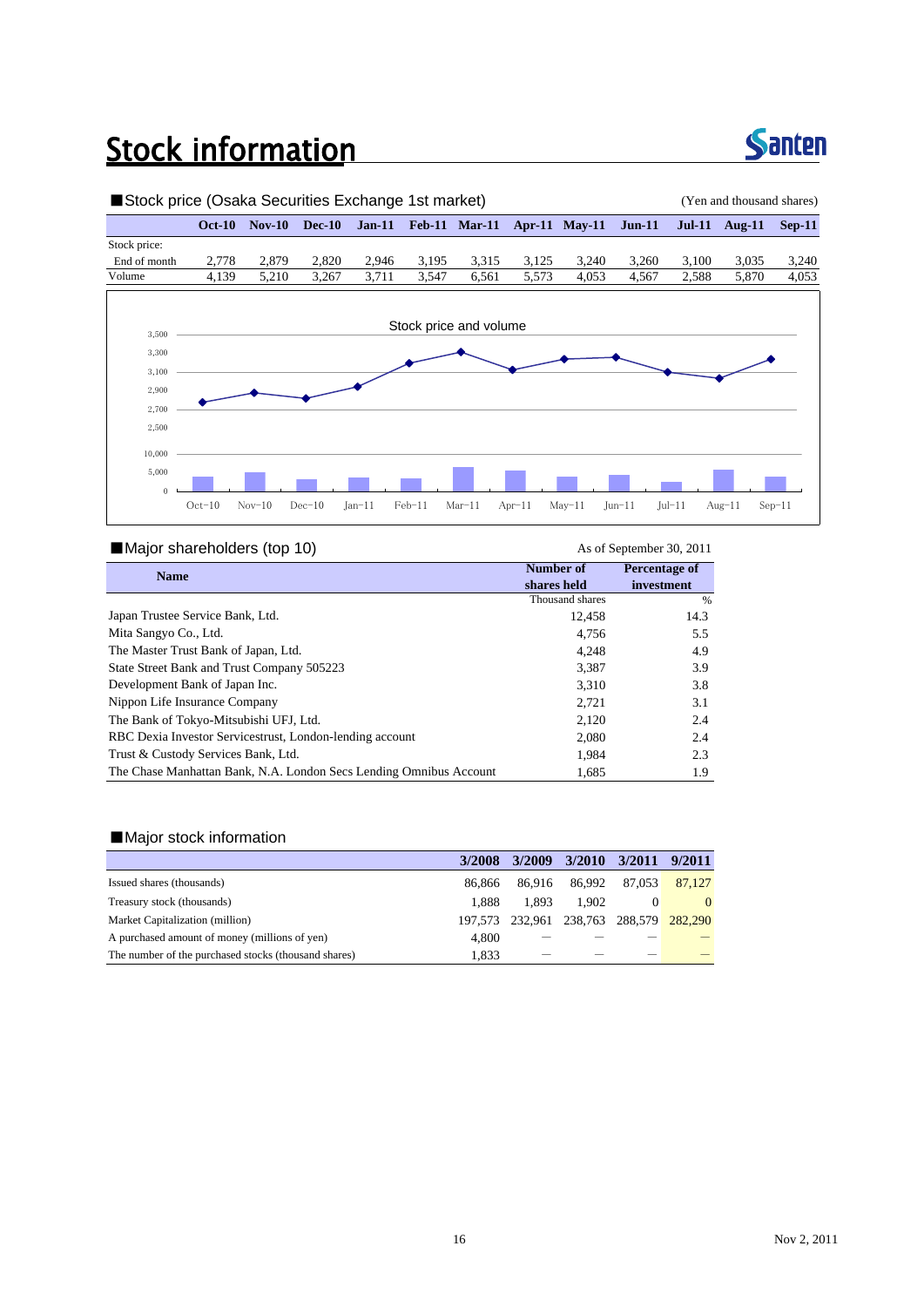### **Stock information**



#### ■Stock price (Osaka Securities Exchange 1st market) (Yen and thousand shares) **Oct-10 Nov-10 Dec-10 Jan-11 Feb-11 Mar-11 Apr-11 May-11 Jun-11 Jul-11 Aug-11 Sep-11** Stock price: End of month 2,778 2,879 2,820 2,946 3,195 3,315 3,125 3,240 3,260 3,100 3,035 3,240 Volume 4,139 5,210 3,267 3,711 3,547 6,561 5,573 4,053 4,567 2,588 5,870 4,053 Stock price and volume 2,500 2,700 2,900 3,100 3,300 3,500  $\theta$ 5,000 10,000 Oct-10 Nov-10 Dec-10 Jan-11 Feb-11 Mar-11 Apr-11 May-11 Jun-11 Jul-11 Aug-11 Sep-11

#### ■Major shareholders (top 10) As of September 30, 2011

| <b>Name</b>                                                        | Number of       | Percentage of |
|--------------------------------------------------------------------|-----------------|---------------|
|                                                                    | shares held     | investment    |
|                                                                    | Thousand shares | %             |
| Japan Trustee Service Bank, Ltd.                                   | 12,458          | 14.3          |
| Mita Sangyo Co., Ltd.                                              | 4,756           | 5.5           |
| The Master Trust Bank of Japan, Ltd.                               | 4,248           | 4.9           |
| State Street Bank and Trust Company 505223                         | 3,387           | 3.9           |
| Development Bank of Japan Inc.                                     | 3.310           | 3.8           |
| Nippon Life Insurance Company                                      | 2,721           | 3.1           |
| The Bank of Tokyo-Mitsubishi UFJ, Ltd.                             | 2,120           | 2.4           |
| RBC Dexia Investor Servicestrust, London-lending account           | 2,080           | 2.4           |
| Trust & Custody Services Bank, Ltd.                                | 1.984           | 2.3           |
| The Chase Manhattan Bank, N.A. London Secs Lending Omnibus Account | 1.685           | 1.9           |

#### ■Major stock information

|                                                      | 3/2008  | 3/2009                          | 3/2010 | 3/2011 9/2011 |        |
|------------------------------------------------------|---------|---------------------------------|--------|---------------|--------|
| Issued shares (thousands)                            | 86.866  | 86.916                          | 86.992 | 87.053        | 87,127 |
| Treasury stock (thousands)                           | 1.888   | 1.893                           | 1.902  |               |        |
| Market Capitalization (million)                      | 197.573 | 232,961 238,763 288,579 282,290 |        |               |        |
| A purchased amount of money (millions of yen)        | 4.800   |                                 |        |               |        |
| The number of the purchased stocks (thousand shares) | 1.833   |                                 |        |               |        |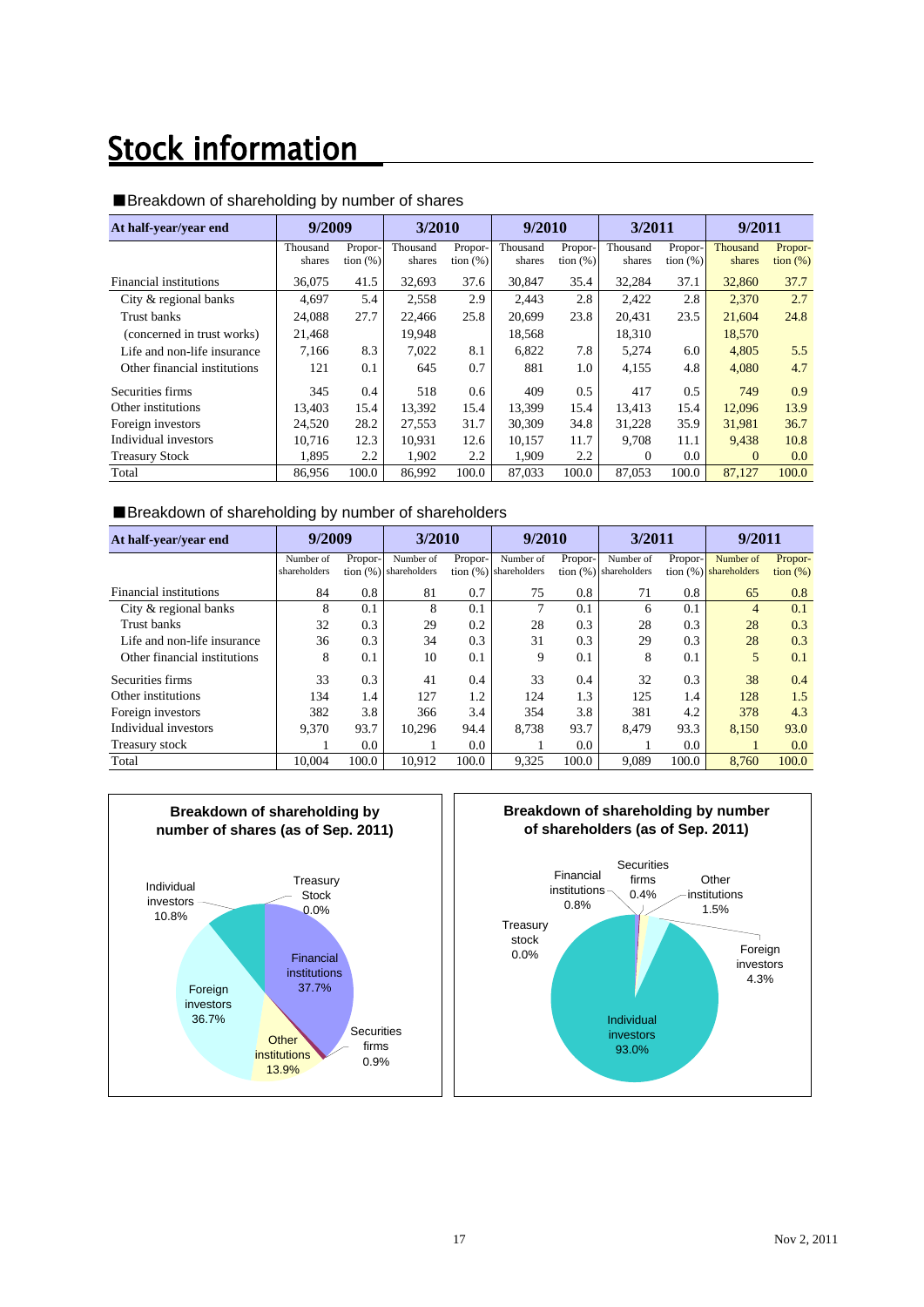## **Stock information**

| At half-year/year end        | 9/2009             |                         | 3/2010             |                        | 9/2010             |                        | 3/2011             |                        | 9/2011             |                        |
|------------------------------|--------------------|-------------------------|--------------------|------------------------|--------------------|------------------------|--------------------|------------------------|--------------------|------------------------|
|                              | Thousand<br>shares | Propor-<br>tion $(\% )$ | Thousand<br>shares | Propor-<br>tion $(\%)$ | Thousand<br>shares | Propor-<br>tion $(\%)$ | Thousand<br>shares | Propor-<br>tion $(\%)$ | Thousand<br>shares | Propor-<br>tion $(\%)$ |
| Financial institutions       | 36.075             | 41.5                    | 32,693             | 37.6                   | 30.847             | 35.4                   | 32,284             | 37.1                   | 32,860             | 37.7                   |
| City & regional banks        | 4.697              | 5.4                     | 2,558              | 2.9                    | 2,443              | 2.8                    | 2.422              | 2.8                    | 2,370              | 2.7                    |
| Trust banks                  | 24.088             | 27.7                    | 22,466             | 25.8                   | 20.699             | 23.8                   | 20.431             | 23.5                   | 21.604             | 24.8                   |
| (concerned in trust works)   | 21,468             |                         | 19,948             |                        | 18,568             |                        | 18,310             |                        | 18,570             |                        |
| Life and non-life insurance  | 7.166              | 8.3                     | 7,022              | 8.1                    | 6.822              | 7.8                    | 5,274              | 6.0                    | 4,805              | 5.5                    |
| Other financial institutions | 121                | 0.1                     | 645                | 0.7                    | 881                | 1.0                    | 4,155              | 4.8                    | 4,080              | 4.7                    |
| Securities firms             | 345                | 0.4                     | 518                | 0.6                    | 409                | 0.5                    | 417                | 0.5                    | 749                | 0.9                    |
| Other institutions           | 13,403             | 15.4                    | 13,392             | 15.4                   | 13.399             | 15.4                   | 13.413             | 15.4                   | 12,096             | 13.9                   |
| Foreign investors            | 24,520             | 28.2                    | 27,553             | 31.7                   | 30,309             | 34.8                   | 31,228             | 35.9                   | 31,981             | 36.7                   |
| Individual investors         | 10.716             | 12.3                    | 10,931             | 12.6                   | 10.157             | 11.7                   | 9,708              | 11.1                   | 9.438              | 10.8                   |
| <b>Treasury Stock</b>        | 1,895              | 2.2                     | 1,902              | 2.2                    | 1,909              | 2.2                    | $\Omega$           | 0.0                    | $\Omega$           | 0.0                    |
| Total                        | 86,956             | 100.0                   | 86,992             | 100.0                  | 87,033             | 100.0                  | 87,053             | 100.0                  | 87.127             | 100.0                  |

#### ■Breakdown of shareholding by number of shares

#### ■Breakdown of shareholding by number of shareholders

| At half-year/year end        | 9/2009       |         | 3/2010                  |               | 9/2010                   |         | 3/2011                   |         | 9/2011                   |             |
|------------------------------|--------------|---------|-------------------------|---------------|--------------------------|---------|--------------------------|---------|--------------------------|-------------|
|                              | Number of    | Propor- | Number of               | Propor-       | Number of                | Propor- | Number of                | Propor- | Number of                | Propor-     |
|                              | shareholders |         | tion $(%)$ shareholders |               | tion $(\%)$ shareholders |         | tion $(\%)$ shareholders |         | tion $(\%)$ shareholders | tion $(\%)$ |
| Financial institutions       | 84           | 0.8     | 81                      | 0.7           | 75                       | 0.8     | 71                       | 0.8     | 65                       | 0.8         |
| City & regional banks        | 8            | 0.1     | 8                       | 0.1           | 7                        | 0.1     | 6                        | 0.1     | $\overline{4}$           | 0.1         |
| Trust banks                  | 32           | 0.3     | 29                      | 0.2           | 28                       | 0.3     | 28                       | 0.3     | 28                       | 0.3         |
| Life and non-life insurance  | 36           | 0.3     | 34                      | 0.3           | 31                       | 0.3     | 29                       | 0.3     | 28                       | 0.3         |
| Other financial institutions | 8            | 0.1     | 10                      | 0.1           | 9                        | 0.1     | 8                        | 0.1     | 5                        | 0.1         |
| Securities firms             | 33           | 0.3     | 41                      | 0.4           | 33                       | 0.4     | 32                       | 0.3     | 38                       | 0.4         |
| Other institutions           | 134          | 1.4     | 127                     | 1.2           | 124                      | 1.3     | 125                      | 1.4     | 128                      | 1.5         |
| Foreign investors            | 382          | 3.8     | 366                     | 3.4           | 354                      | 3.8     | 381                      | 4.2     | 378                      | 4.3         |
| Individual investors         | 9.370        | 93.7    | 10,296                  | 94.4          | 8.738                    | 93.7    | 8.479                    | 93.3    | 8.150                    | 93.0        |
| Treasury stock               |              | 0.0     |                         | $0.0^{\circ}$ |                          | 0.0     |                          | 0.0     |                          | 0.0         |
| Total                        | 10.004       | 100.0   | 10.912                  | 100.0         | 9,325                    | 100.0   | 9.089                    | 100.0   | 8.760                    | 100.0       |



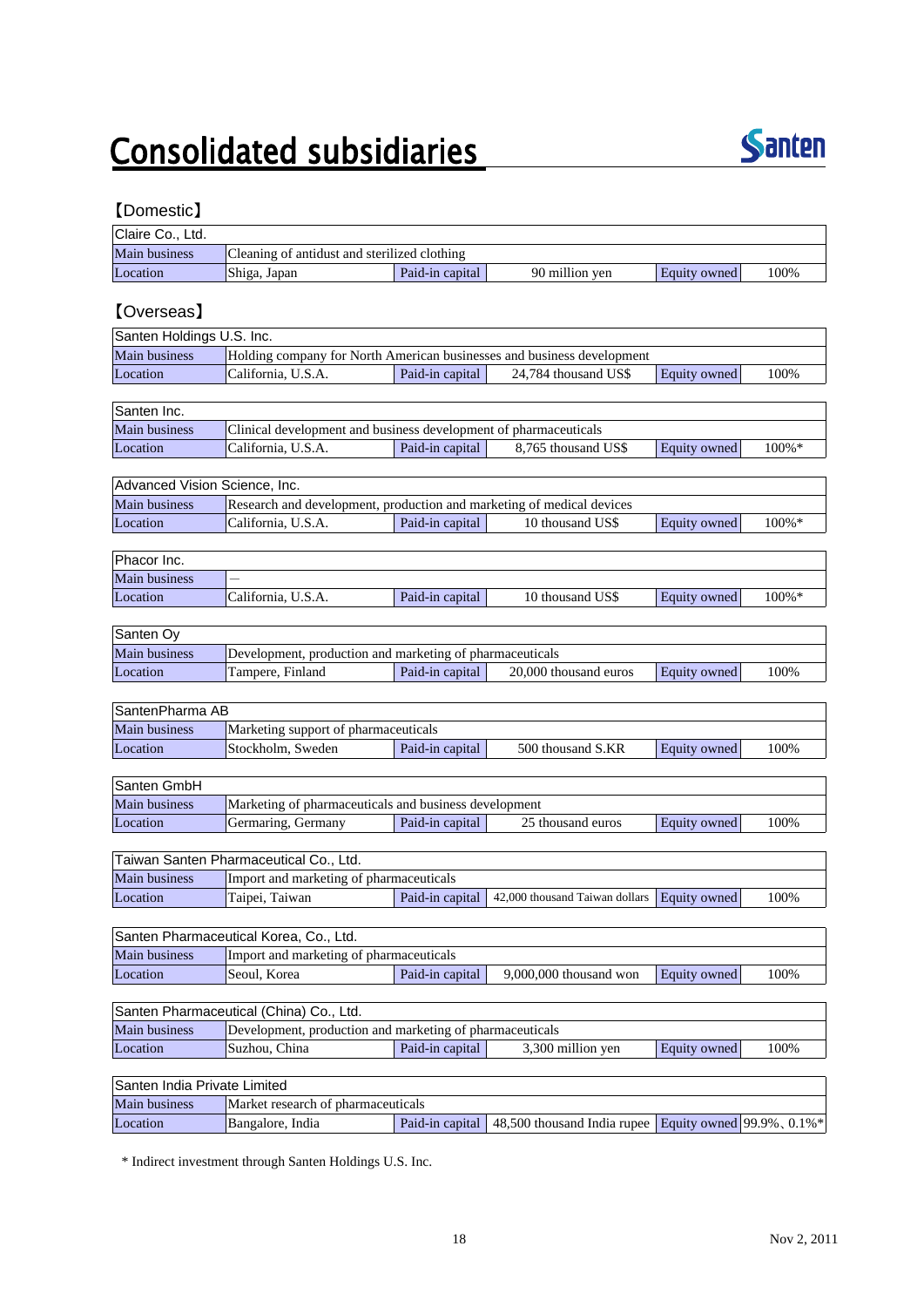## **Consolidated subsidiaries**



### 【Domestic】

| Claire Co., Ltd. |                                              |                 |                |              |      |
|------------------|----------------------------------------------|-----------------|----------------|--------------|------|
| Main business    | Cleaning of antidust and sterilized clothing |                 |                |              |      |
| Location         | Shiga, Japan                                 | Paid-in capital | 90 million yen | Equity owned | 100% |

### 【Overseas】

| Santen Holdings U.S. Inc.                                                                      |                    |                 |                      |              |      |  |  |  |
|------------------------------------------------------------------------------------------------|--------------------|-----------------|----------------------|--------------|------|--|--|--|
| <b>Main business</b><br>Holding company for North American businesses and business development |                    |                 |                      |              |      |  |  |  |
| Location                                                                                       | California, U.S.A. | Paid-in capital | 24,784 thousand US\$ | Equity owned | 100% |  |  |  |

| Santen Inc.   |                                                                  |                 |                     |              |          |
|---------------|------------------------------------------------------------------|-----------------|---------------------|--------------|----------|
| Main business | Clinical development and business development of pharmaceuticals |                 |                     |              |          |
| Location      | California, U.S.A.                                               | Paid-in capital | 8.765 thousand US\$ | Equity owned | $100\%*$ |

| Advanced Vision Science, Inc.                                                          |                    |                 |                  |              |       |  |  |
|----------------------------------------------------------------------------------------|--------------------|-----------------|------------------|--------------|-------|--|--|
| Main business<br>Research and development, production and marketing of medical devices |                    |                 |                  |              |       |  |  |
| Location                                                                               | California, U.S.A. | Paid-in capital | 10 thousand US\$ | Equity owned | 100%* |  |  |

| Phacor Inc.          |                          |                 |                  |              |           |  |  |
|----------------------|--------------------------|-----------------|------------------|--------------|-----------|--|--|
| <b>Main business</b> | $\overline{\phantom{m}}$ |                 |                  |              |           |  |  |
| Location             | California, U.S.A.       | Paid-in capital | 10 thousand US\$ | Equity owned | $100\% *$ |  |  |

| Santen Ov            |                                                          |                 |                       |              |      |  |  |
|----------------------|----------------------------------------------------------|-----------------|-----------------------|--------------|------|--|--|
| <b>Main business</b> | Development, production and marketing of pharmaceuticals |                 |                       |              |      |  |  |
| Location             | Tampere, Finland                                         | Paid-in capital | 20,000 thousand euros | Equity owned | 100% |  |  |

| SantenPharma AB      |                                |                                      |                   |              |      |  |  |
|----------------------|--------------------------------|--------------------------------------|-------------------|--------------|------|--|--|
| <b>Main business</b> |                                | Marketing support of pharmaceuticals |                   |              |      |  |  |
| Location             | <sup>1</sup> Stockholm. Sweden | Paid-in capital                      | 500 thousand S.KR | Equity owned | 100% |  |  |

| Santen GmbH          |                                                       |                 |                   |              |      |  |  |
|----------------------|-------------------------------------------------------|-----------------|-------------------|--------------|------|--|--|
| <b>Main business</b> | Marketing of pharmaceuticals and business development |                 |                   |              |      |  |  |
| Location             | Germaring, Germany                                    | Paid-in capital | 25 thousand euros | Equity owned | 100% |  |  |

| Taiwan Santen Pharmaceutical Co., Ltd. |                                                                                           |  |  |  |  |  |
|----------------------------------------|-------------------------------------------------------------------------------------------|--|--|--|--|--|
| Main business                          | Import and marketing of pharmaceuticals                                                   |  |  |  |  |  |
| Location                               | 100%<br>Taipei, Taiwan<br>Paid-in capital   42,000 thousand Taiwan dollars   Equity owned |  |  |  |  |  |

| Santen Pharmaceutical Korea, Co., Ltd. |                                                                                   |  |  |  |  |  |  |
|----------------------------------------|-----------------------------------------------------------------------------------|--|--|--|--|--|--|
| Main business                          | Import and marketing of pharmaceuticals                                           |  |  |  |  |  |  |
| Location                               | 100%<br>Paid-in capital<br>9,000,000 thousand won<br>Seoul. Korea<br>Equity owned |  |  |  |  |  |  |

| Santen Pharmaceutical (China) Co., Ltd. |                                                          |                                                              |  |  |  |  |  |
|-----------------------------------------|----------------------------------------------------------|--------------------------------------------------------------|--|--|--|--|--|
| Main business                           | Development, production and marketing of pharmaceuticals |                                                              |  |  |  |  |  |
| Location                                | 'Suzhou. China                                           | 100%<br>Paid-in capital<br>3.300 million ven<br>Equity owned |  |  |  |  |  |

| Santen India Private Limited |                                    |  |                                                                             |  |  |  |
|------------------------------|------------------------------------|--|-----------------------------------------------------------------------------|--|--|--|
| Main business                | Market research of pharmaceuticals |  |                                                                             |  |  |  |
| Location                     | Bangalore, India                   |  | Paid-in capital   48,500 thousand India rupee   Equity owned   99.9%, 0.1%* |  |  |  |

\* Indirect investment through Santen Holdings U.S. Inc.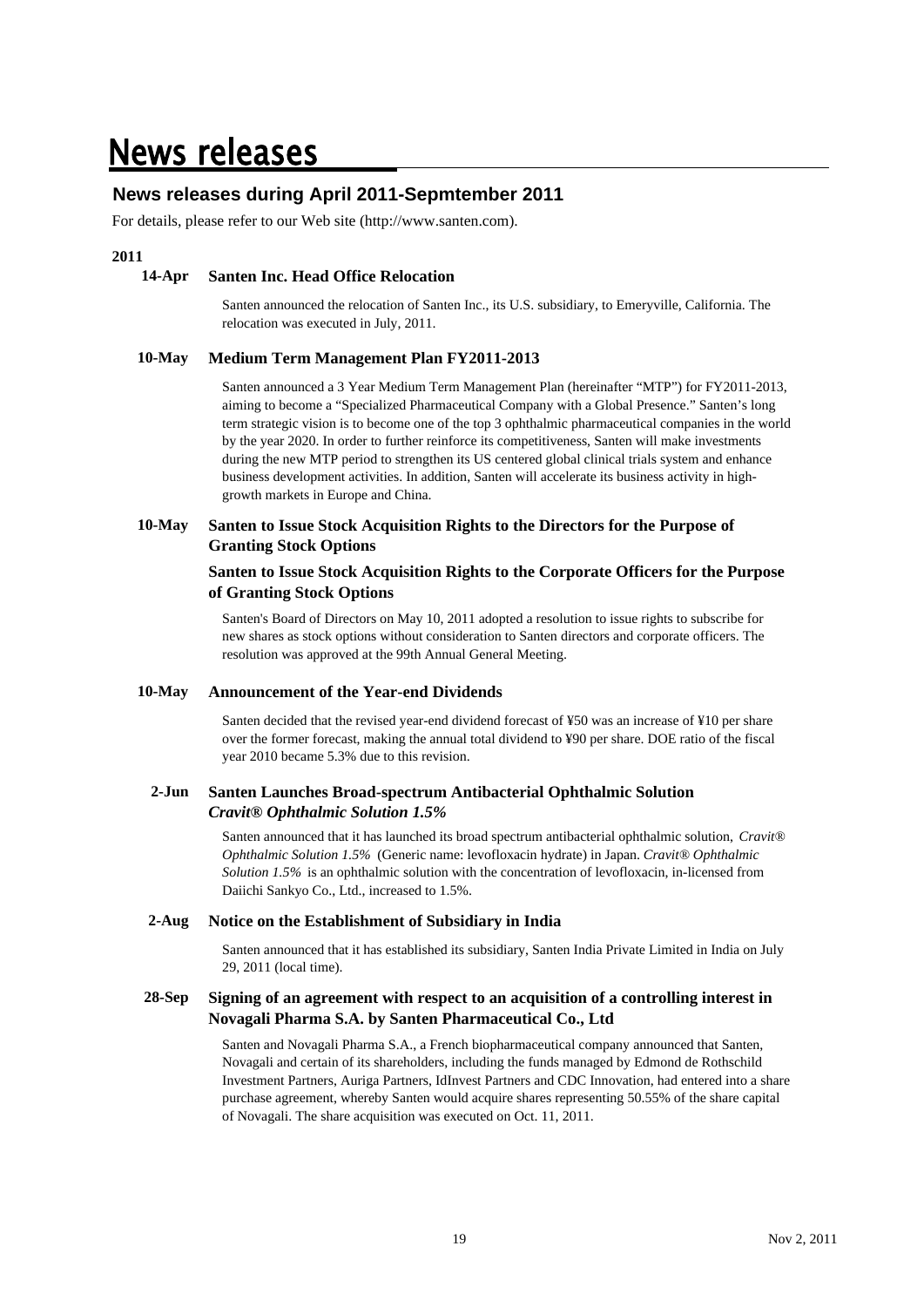### **News releases**

### **News releases during April 2011-Sepmtember 2011**

For details, please refer to our Web site (http://www.santen.com).

#### **2011**

#### **14-Apr Santen Inc. Head Office Relocation**

Santen announced the relocation of Santen Inc., its U.S. subsidiary, to Emeryville, California. The relocation was executed in July, 2011.

#### **10-May Medium Term Management Plan FY2011-2013**

Santen announced a 3 Year Medium Term Management Plan (hereinafter "MTP") for FY2011-2013, aiming to become a "Specialized Pharmaceutical Company with a Global Presence." Santen's long term strategic vision is to become one of the top 3 ophthalmic pharmaceutical companies in the world by the year 2020. In order to further reinforce its competitiveness, Santen will make investments during the new MTP period to strengthen its US centered global clinical trials system and enhance business development activities. In addition, Santen will accelerate its business activity in highgrowth markets in Europe and China.

#### **10-May Santen to Issue Stock Acquisition Rights to the Directors for the Purpose of Granting Stock Options**

#### **Santen to Issue Stock Acquisition Rights to the Corporate Officers for the Purpose of Granting Stock Options**

Santen's Board of Directors on May 10, 2011 adopted a resolution to issue rights to subscribe for new shares as stock options without consideration to Santen directors and corporate officers. The resolution was approved at the 99th Annual General Meeting.

#### **10-May Announcement of the Year-end Dividends**

Santen decided that the revised year-end dividend forecast of ¥50 was an increase of ¥10 per share over the former forecast, making the annual total dividend to ¥90 per share. DOE ratio of the fiscal year 2010 became 5.3% due to this revision.

#### **2-Jun Santen Launches Broad-spectrum Antibacterial Ophthalmic Solution** *Cravit® Ophthalmic Solution 1.5%*

Santen announced that it has launched its broad spectrum antibacterial ophthalmic solution, *Cravit® Ophthalmic Solution 1.5%* (Generic name: levofloxacin hydrate) in Japan. *Cravit® Ophthalmic Solution 1.5%* is an ophthalmic solution with the concentration of levofloxacin, in-licensed from Daiichi Sankyo Co., Ltd., increased to 1.5%.

#### **2-Aug Notice on the Establishment of Subsidiary in India**

Santen announced that it has established its subsidiary, Santen India Private Limited in India on July 29, 2011 (local time).

#### **28-Sep Signing of an agreement with respect to an acquisition of a controlling interest in Novagali Pharma S.A. by Santen Pharmaceutical Co., Ltd**

Santen and Novagali Pharma S.A., a French biopharmaceutical company announced that Santen, Novagali and certain of its shareholders, including the funds managed by Edmond de Rothschild Investment Partners, Auriga Partners, IdInvest Partners and CDC Innovation, had entered into a share purchase agreement, whereby Santen would acquire shares representing 50.55% of the share capital of Novagali. The share acquisition was executed on Oct. 11, 2011.